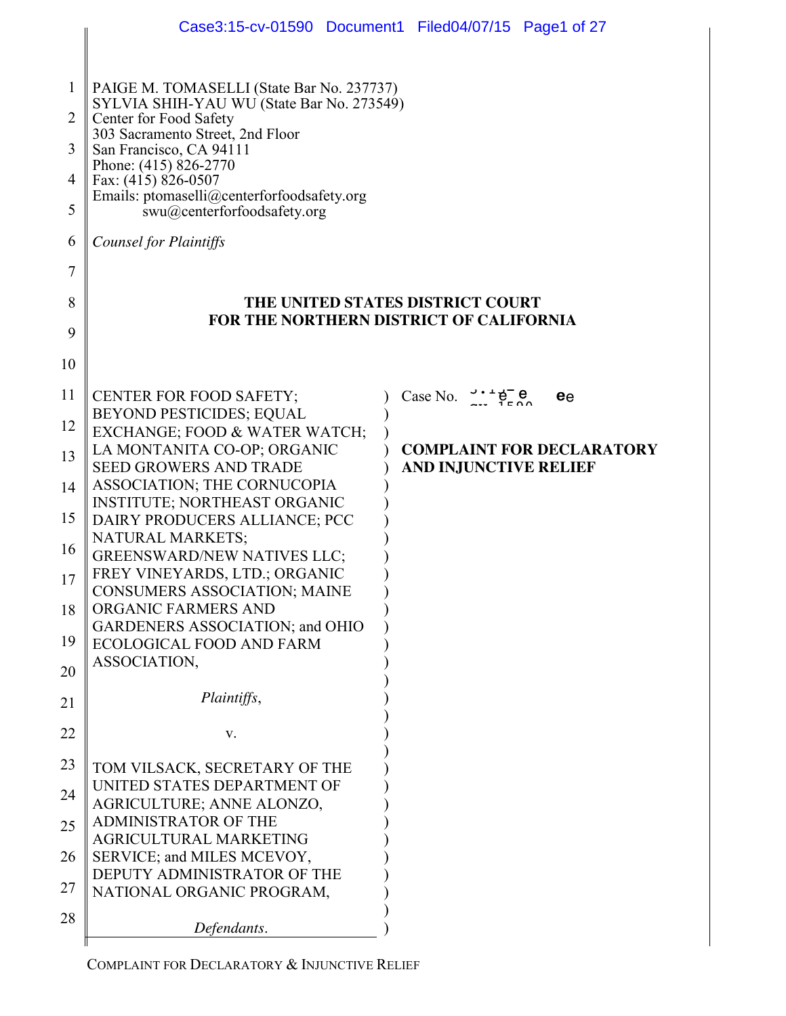|                                  | Case3:15-cv-01590 Document1 Filed04/07/15 Page1 of 27                                                                                                                                                                                                                                                        |                                                      |                                  |
|----------------------------------|--------------------------------------------------------------------------------------------------------------------------------------------------------------------------------------------------------------------------------------------------------------------------------------------------------------|------------------------------------------------------|----------------------------------|
| $\mathbf{1}$<br>2<br>3<br>4<br>5 | PAIGE M. TOMASELLI (State Bar No. 237737)<br>SYLVIA SHIH-YAU WU (State Bar No. 273549)<br>Center for Food Safety<br>303 Sacramento Street, 2nd Floor<br>San Francisco, CA 94111<br>Phone: (415) 826-2770<br>Fax: (415) 826-0507<br>Emails: ptomaselli@centerforfoodsafety.org<br>swu@centerforfoodsafety.org |                                                      |                                  |
| 6                                | <b>Counsel for Plaintiffs</b>                                                                                                                                                                                                                                                                                |                                                      |                                  |
| 7                                |                                                                                                                                                                                                                                                                                                              |                                                      |                                  |
| 8<br>9                           | THE UNITED STATES DISTRICT COURT<br>FOR THE NORTHERN DISTRICT OF CALIFORNIA                                                                                                                                                                                                                                  |                                                      |                                  |
| 10                               |                                                                                                                                                                                                                                                                                                              |                                                      |                                  |
| 11                               | <b>CENTER FOR FOOD SAFETY;</b>                                                                                                                                                                                                                                                                               | Case No. $\frac{3 \cdot 4}{2 \cdot 2}$ $\frac{6}{2}$ | ee                               |
| 12                               | BEYOND PESTICIDES; EQUAL<br>EXCHANGE; FOOD & WATER WATCH;                                                                                                                                                                                                                                                    |                                                      |                                  |
| 13                               | LA MONTANITA CO-OP; ORGANIC<br><b>SEED GROWERS AND TRADE</b>                                                                                                                                                                                                                                                 | <b>AND INJUNCTIVE RELIEF</b>                         | <b>COMPLAINT FOR DECLARATORY</b> |
| 14                               | ASSOCIATION; THE CORNUCOPIA<br><b>INSTITUTE; NORTHEAST ORGANIC</b>                                                                                                                                                                                                                                           |                                                      |                                  |
| 15                               | DAIRY PRODUCERS ALLIANCE; PCC                                                                                                                                                                                                                                                                                |                                                      |                                  |
| 16                               | <b>NATURAL MARKETS;</b><br><b>GREENSWARD/NEW NATIVES LLC;</b>                                                                                                                                                                                                                                                |                                                      |                                  |
| 17                               | FREY VINEYARDS, LTD.; ORGANIC<br>CONSUMERS ASSOCIATION; MAINE                                                                                                                                                                                                                                                |                                                      |                                  |
| 18                               | ORGANIC FARMERS AND<br><b>GARDENERS ASSOCIATION; and OHIO</b>                                                                                                                                                                                                                                                |                                                      |                                  |
| 19                               | <b>ECOLOGICAL FOOD AND FARM</b>                                                                                                                                                                                                                                                                              |                                                      |                                  |
| 20                               | ASSOCIATION,                                                                                                                                                                                                                                                                                                 |                                                      |                                  |
| 21                               | Plaintiffs,                                                                                                                                                                                                                                                                                                  |                                                      |                                  |
| 22                               | V.                                                                                                                                                                                                                                                                                                           |                                                      |                                  |
| 23                               | TOM VILSACK, SECRETARY OF THE                                                                                                                                                                                                                                                                                |                                                      |                                  |
| 24                               | UNITED STATES DEPARTMENT OF<br>AGRICULTURE; ANNE ALONZO,                                                                                                                                                                                                                                                     |                                                      |                                  |
| 25                               | <b>ADMINISTRATOR OF THE</b><br>AGRICULTURAL MARKETING                                                                                                                                                                                                                                                        |                                                      |                                  |
| 26                               | SERVICE; and MILES MCEVOY,<br>DEPUTY ADMINISTRATOR OF THE                                                                                                                                                                                                                                                    |                                                      |                                  |
| 27                               | NATIONAL ORGANIC PROGRAM,                                                                                                                                                                                                                                                                                    |                                                      |                                  |
| 28                               | Defendants.                                                                                                                                                                                                                                                                                                  |                                                      |                                  |

COMPLAINT FOR DECLARATORY & INJUNCTIVE RELIEF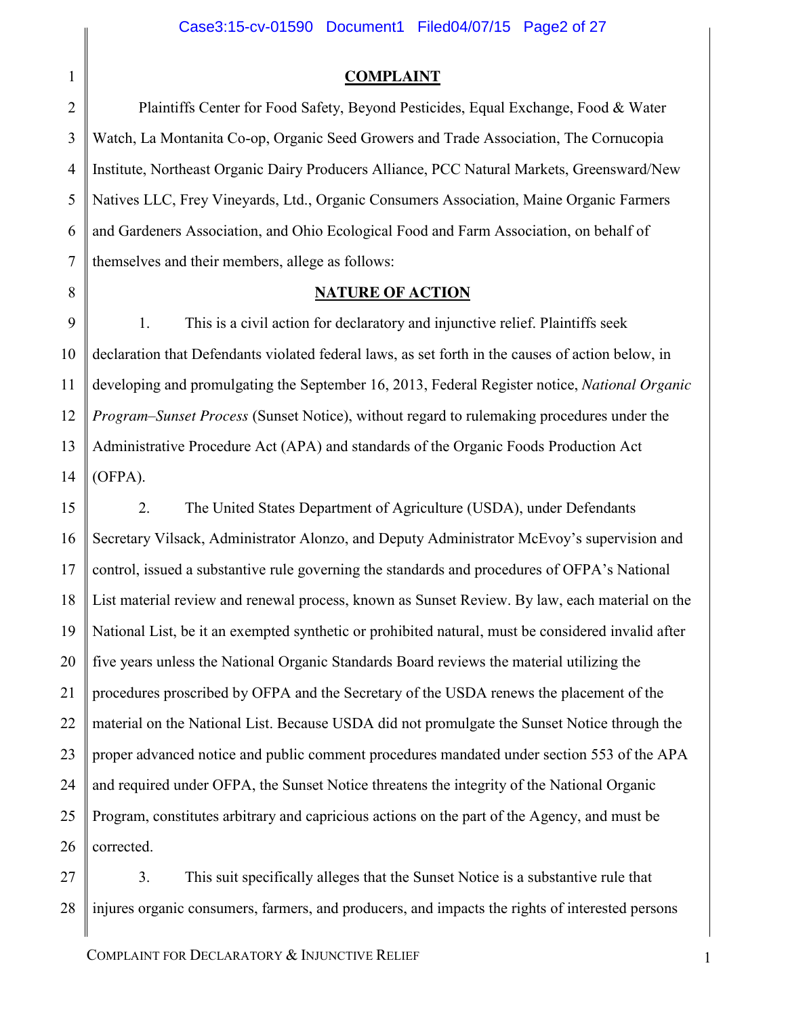**COMPLAINT**

2 3 4 5 6 7 Plaintiffs Center for Food Safety, Beyond Pesticides, Equal Exchange, Food & Water Watch, La Montanita Co-op, Organic Seed Growers and Trade Association, The Cornucopia Institute, Northeast Organic Dairy Producers Alliance, PCC Natural Markets, Greensward/New Natives LLC, Frey Vineyards, Ltd., Organic Consumers Association, Maine Organic Farmers and Gardeners Association, and Ohio Ecological Food and Farm Association, on behalf of themselves and their members, allege as follows:

8

1

### **NATURE OF ACTION**

9 10 11 12 13 14 1. This is a civil action for declaratory and injunctive relief. Plaintiffs seek declaration that Defendants violated federal laws, as set forth in the causes of action below, in developing and promulgating the September 16, 2013, Federal Register notice, *National Organic Program–Sunset Process* (Sunset Notice), without regard to rulemaking procedures under the Administrative Procedure Act (APA) and standards of the Organic Foods Production Act (OFPA).

15 16 17 18 19 20 21 22 23 24 25 26 2. The United States Department of Agriculture (USDA), under Defendants Secretary Vilsack, Administrator Alonzo, and Deputy Administrator McEvoy's supervision and control, issued a substantive rule governing the standards and procedures of OFPA's National List material review and renewal process, known as Sunset Review. By law, each material on the National List, be it an exempted synthetic or prohibited natural, must be considered invalid after five years unless the National Organic Standards Board reviews the material utilizing the procedures proscribed by OFPA and the Secretary of the USDA renews the placement of the material on the National List. Because USDA did not promulgate the Sunset Notice through the proper advanced notice and public comment procedures mandated under section 553 of the APA and required under OFPA, the Sunset Notice threatens the integrity of the National Organic Program, constitutes arbitrary and capricious actions on the part of the Agency, and must be corrected.

27 28 3. This suit specifically alleges that the Sunset Notice is a substantive rule that injures organic consumers, farmers, and producers, and impacts the rights of interested persons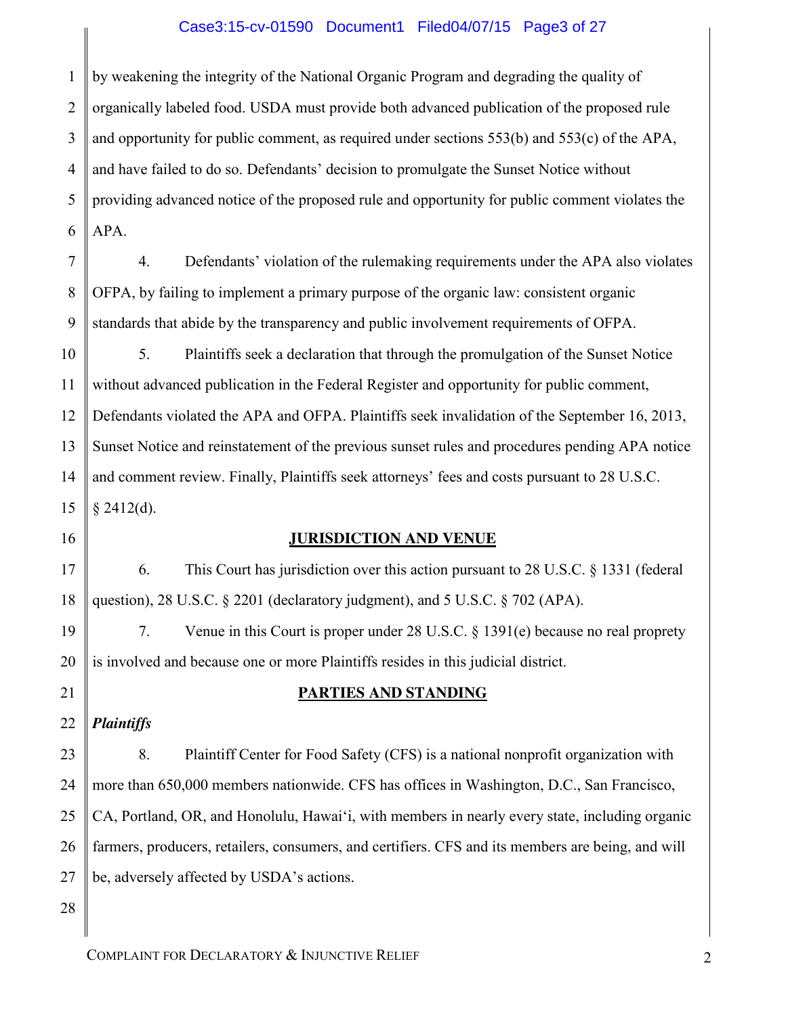### Case3:15-cv-01590 Document1 Filed04/07/15 Page3 of 27

1 2 3 4 5 6 by weakening the integrity of the National Organic Program and degrading the quality of organically labeled food. USDA must provide both advanced publication of the proposed rule and opportunity for public comment, as required under sections 553(b) and 553(c) of the APA, and have failed to do so. Defendants' decision to promulgate the Sunset Notice without providing advanced notice of the proposed rule and opportunity for public comment violates the APA.

4. Defendants' violation of the rulemaking requirements under the APA also violates OFPA, by failing to implement a primary purpose of the organic law: consistent organic standards that abide by the transparency and public involvement requirements of OFPA.

10 11 12 13 14 15 5. Plaintiffs seek a declaration that through the promulgation of the Sunset Notice without advanced publication in the Federal Register and opportunity for public comment, Defendants violated the APA and OFPA. Plaintiffs seek invalidation of the September 16, 2013, Sunset Notice and reinstatement of the previous sunset rules and procedures pending APA notice and comment review. Finally, Plaintiffs seek attorneys' fees and costs pursuant to 28 U.S.C.  $§$  2412(d).

### **JURISDICTION AND VENUE**

6. This Court has jurisdiction over this action pursuant to 28 U.S.C. § 1331 (federal question), 28 U.S.C.  $\S$  2201 (declaratory judgment), and 5 U.S.C.  $\S$  702 (APA).

7. Venue in this Court is proper under 28 U.S.C. § 1391(e) because no real proprety is involved and because one or more Plaintiffs resides in this judicial district.

22 *Plaintiffs*

7

8

9

16

17

18

19

20

21

### **PARTIES AND STANDING**

23 24 25 26 27 8. Plaintiff Center for Food Safety (CFS) is a national nonprofit organization with more than 650,000 members nationwide. CFS has offices in Washington, D.C., San Francisco, CA, Portland, OR, and Honolulu, Hawai'i, with members in nearly every state, including organic farmers, producers, retailers, consumers, and certifiers. CFS and its members are being, and will be, adversely affected by USDA's actions.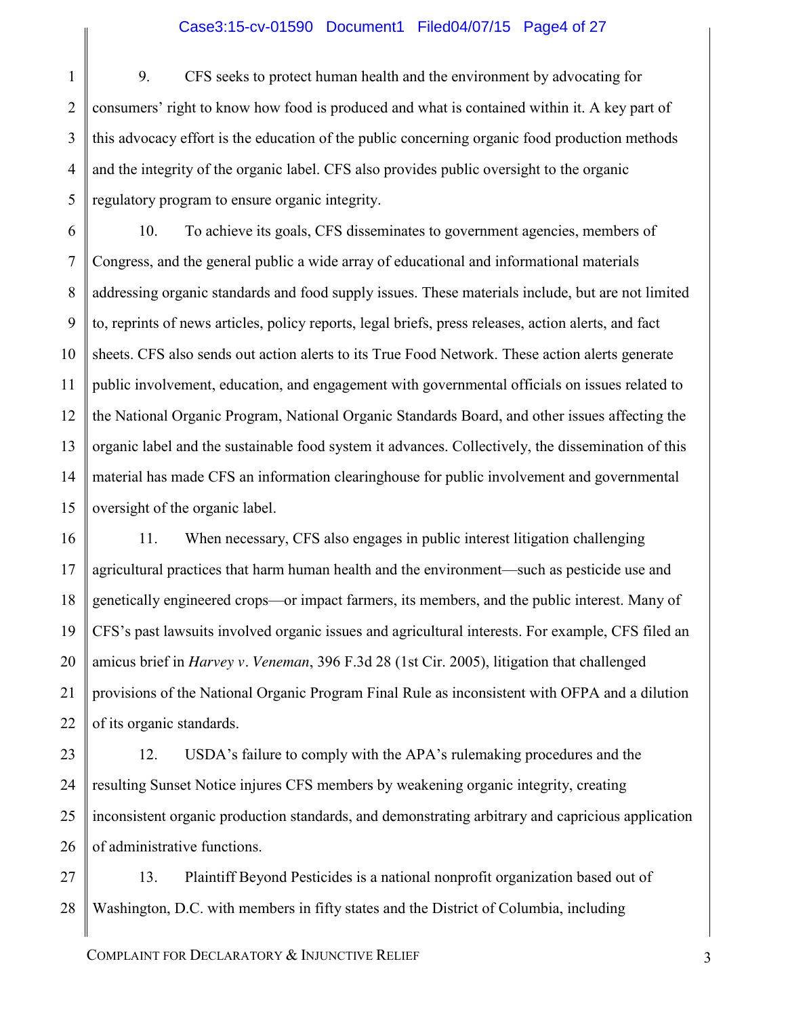### Case3:15-cv-01590 Document1 Filed04/07/15 Page4 of 27

1 2 3 4 5 9. CFS seeks to protect human health and the environment by advocating for consumers' right to know how food is produced and what is contained within it. A key part of this advocacy effort is the education of the public concerning organic food production methods and the integrity of the organic label. CFS also provides public oversight to the organic regulatory program to ensure organic integrity.

6 7 8 9 10 11 12 13 14 15 10. To achieve its goals, CFS disseminates to government agencies, members of Congress, and the general public a wide array of educational and informational materials addressing organic standards and food supply issues. These materials include, but are not limited to, reprints of news articles, policy reports, legal briefs, press releases, action alerts, and fact sheets. CFS also sends out action alerts to its True Food Network. These action alerts generate public involvement, education, and engagement with governmental officials on issues related to the National Organic Program, National Organic Standards Board, and other issues affecting the organic label and the sustainable food system it advances. Collectively, the dissemination of this material has made CFS an information clearinghouse for public involvement and governmental oversight of the organic label.

16 17 18 19 20 21 22 11. When necessary, CFS also engages in public interest litigation challenging agricultural practices that harm human health and the environment—such as pesticide use and genetically engineered crops—or impact farmers, its members, and the public interest. Many of CFS's past lawsuits involved organic issues and agricultural interests. For example, CFS filed an amicus brief in *Harvey v. Veneman*, 396 F.3d 28 (1st Cir. 2005), litigation that challenged provisions of the National Organic Program Final Rule as inconsistent with OFPA and a dilution of its organic standards.

23 24 25 26 12. USDA's failure to comply with the APA's rulemaking procedures and the resulting Sunset Notice injures CFS members by weakening organic integrity, creating inconsistent organic production standards, and demonstrating arbitrary and capricious application of administrative functions.

27 28 13. Plaintiff Beyond Pesticides is a national nonprofit organization based out of Washington, D.C. with members in fifty states and the District of Columbia, including

COMPLAINT FOR DECLARATORY & INJUNCTIVE RELIEF 3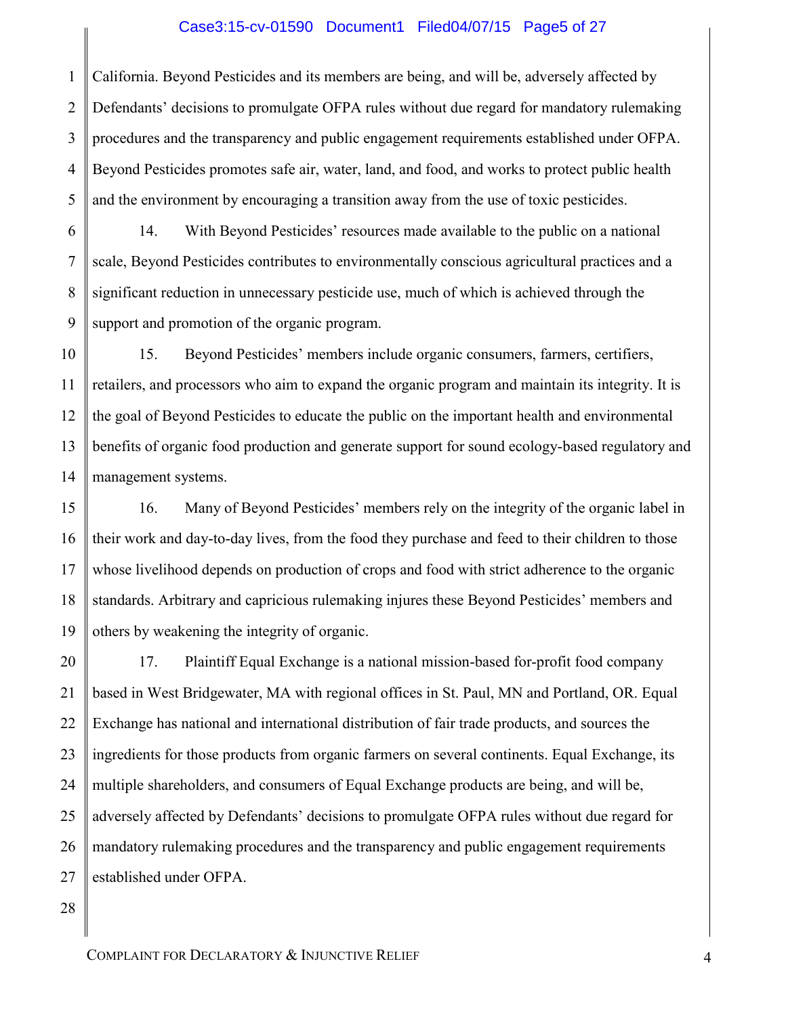### Case3:15-cv-01590 Document1 Filed04/07/15 Page5 of 27

1 2 3 4 5 California. Beyond Pesticides and its members are being, and will be, adversely affected by Defendants' decisions to promulgate OFPA rules without due regard for mandatory rulemaking procedures and the transparency and public engagement requirements established under OFPA. Beyond Pesticides promotes safe air, water, land, and food, and works to protect public health and the environment by encouraging a transition away from the use of toxic pesticides.

6 7 8 9 14. With Beyond Pesticides' resources made available to the public on a national scale, Beyond Pesticides contributes to environmentally conscious agricultural practices and a significant reduction in unnecessary pesticide use, much of which is achieved through the support and promotion of the organic program.

10 11 12 13 14 15. Beyond Pesticides' members include organic consumers, farmers, certifiers, retailers, and processors who aim to expand the organic program and maintain its integrity. It is the goal of Beyond Pesticides to educate the public on the important health and environmental benefits of organic food production and generate support for sound ecology-based regulatory and management systems.

15 16 17 18 19 16. Many of Beyond Pesticides' members rely on the integrity of the organic label in their work and day-to-day lives, from the food they purchase and feed to their children to those whose livelihood depends on production of crops and food with strict adherence to the organic standards. Arbitrary and capricious rulemaking injures these Beyond Pesticides' members and others by weakening the integrity of organic.

20 21 22 23 24 25 26 27 17. Plaintiff Equal Exchange is a national mission-based for-profit food company based in West Bridgewater, MA with regional offices in St. Paul, MN and Portland, OR. Equal Exchange has national and international distribution of fair trade products, and sources the ingredients for those products from organic farmers on several continents. Equal Exchange, its multiple shareholders, and consumers of Equal Exchange products are being, and will be, adversely affected by Defendants' decisions to promulgate OFPA rules without due regard for mandatory rulemaking procedures and the transparency and public engagement requirements established under OFPA.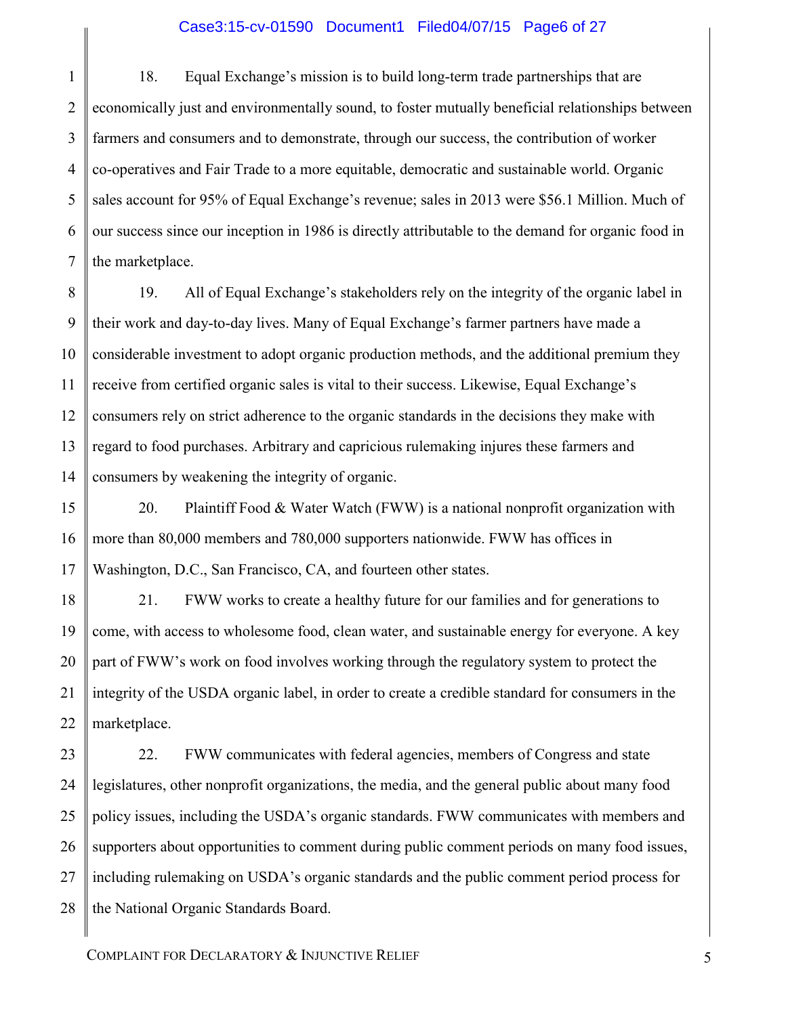### Case3:15-cv-01590 Document1 Filed04/07/15 Page6 of 27

1 2 3 4 5 6 7 18. Equal Exchange's mission is to build long-term trade partnerships that are economically just and environmentally sound, to foster mutually beneficial relationships between farmers and consumers and to demonstrate, through our success, the contribution of worker co-operatives and Fair Trade to a more equitable, democratic and sustainable world. Organic sales account for 95% of Equal Exchange's revenue; sales in 2013 were \$56.1 Million. Much of our success since our inception in 1986 is directly attributable to the demand for organic food in the marketplace.

8 9 10 11 12 13 14 19. All of Equal Exchange's stakeholders rely on the integrity of the organic label in their work and day-to-day lives. Many of Equal Exchange's farmer partners have made a considerable investment to adopt organic production methods, and the additional premium they receive from certified organic sales is vital to their success. Likewise, Equal Exchange's consumers rely on strict adherence to the organic standards in the decisions they make with regard to food purchases. Arbitrary and capricious rulemaking injures these farmers and consumers by weakening the integrity of organic.

15 16 17 20. Plaintiff Food  $& Water Watch$  (FWW) is a national nonprofit organization with more than 80,000 members and 780,000 supporters nationwide. FWW has offices in Washington, D.C., San Francisco, CA, and fourteen other states.

18 19 20 21 22 21. FWW works to create a healthy future for our families and for generations to come, with access to wholesome food, clean water, and sustainable energy for everyone. A key part of FWW's work on food involves working through the regulatory system to protect the integrity of the USDA organic label, in order to create a credible standard for consumers in the marketplace.

23 24 25 26 27 28 22. FWW communicates with federal agencies, members of Congress and state legislatures, other nonprofit organizations, the media, and the general public about many food policy issues, including the USDA's organic standards. FWW communicates with members and supporters about opportunities to comment during public comment periods on many food issues, including rulemaking on USDA's organic standards and the public comment period process for the National Organic Standards Board.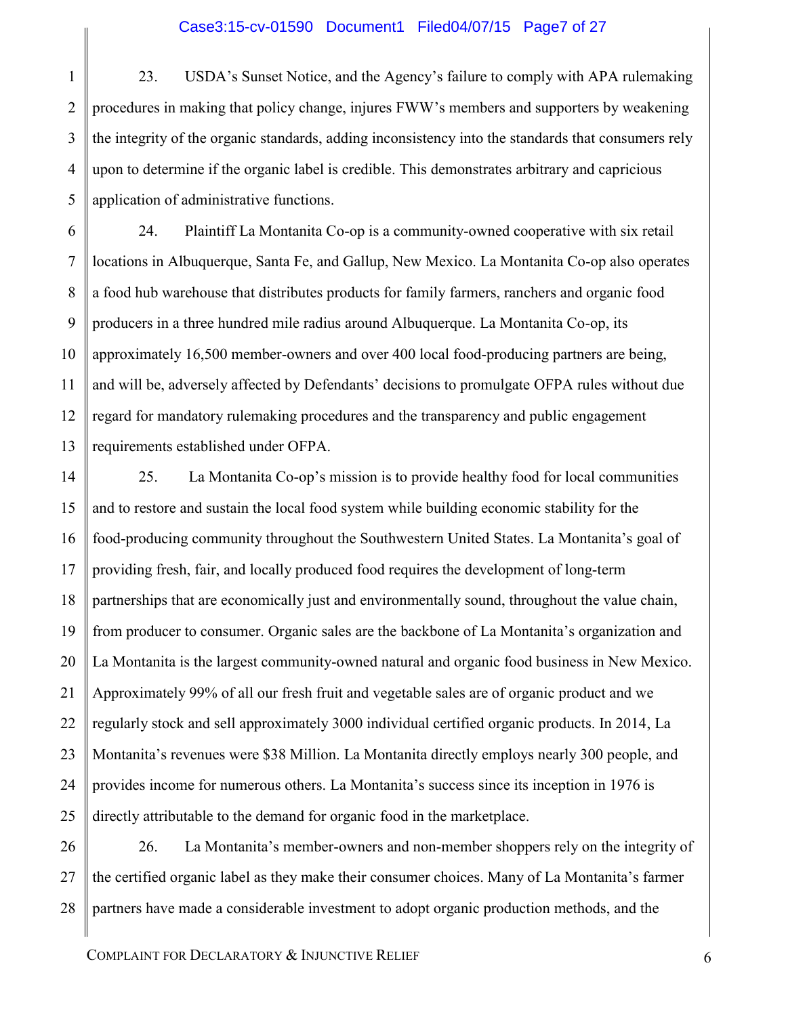### Case3:15-cv-01590 Document1 Filed04/07/15 Page7 of 27

1 2 3 4 5 23. USDA's Sunset Notice, and the Agency's failure to comply with APA rulemaking procedures in making that policy change, injures FWW's members and supporters by weakening the integrity of the organic standards, adding inconsistency into the standards that consumers rely upon to determine if the organic label is credible. This demonstrates arbitrary and capricious application of administrative functions.

13 24. Plaintiff La Montanita Co-op is a community-owned cooperative with six retail locations in Albuquerque, Santa Fe, and Gallup, New Mexico. La Montanita Co-op also operates a food hub warehouse that distributes products for family farmers, ranchers and organic food producers in a three hundred mile radius around Albuquerque. La Montanita Co-op, its approximately 16,500 member-owners and over 400 local food-producing partners are being, and will be, adversely affected by Defendants' decisions to promulgate OFPA rules without due regard for mandatory rulemaking procedures and the transparency and public engagement requirements established under OFPA.

14 15 16 17 18 19 20 21 22 23 24 25 25. La Montanita Co-op's mission is to provide healthy food for local communities and to restore and sustain the local food system while building economic stability for the food-producing community throughout the Southwestern United States. La Montanita's goal of providing fresh, fair, and locally produced food requires the development of long-term partnerships that are economically just and environmentally sound, throughout the value chain, from producer to consumer. Organic sales are the backbone of La Montanita's organization and La Montanita is the largest community-owned natural and organic food business in New Mexico. Approximately 99% of all our fresh fruit and vegetable sales are of organic product and we regularly stock and sell approximately 3000 individual certified organic products. In 2014, La Montanita's revenues were \$38 Million. La Montanita directly employs nearly 300 people, and provides income for numerous others. La Montanita's success since its inception in 1976 is directly attributable to the demand for organic food in the marketplace.

26 27 28 26. La Montanita's member-owners and non-member shoppers rely on the integrity of the certified organic label as they make their consumer choices. Many of La Montanita's farmer partners have made a considerable investment to adopt organic production methods, and the

6

7

8

9

10

11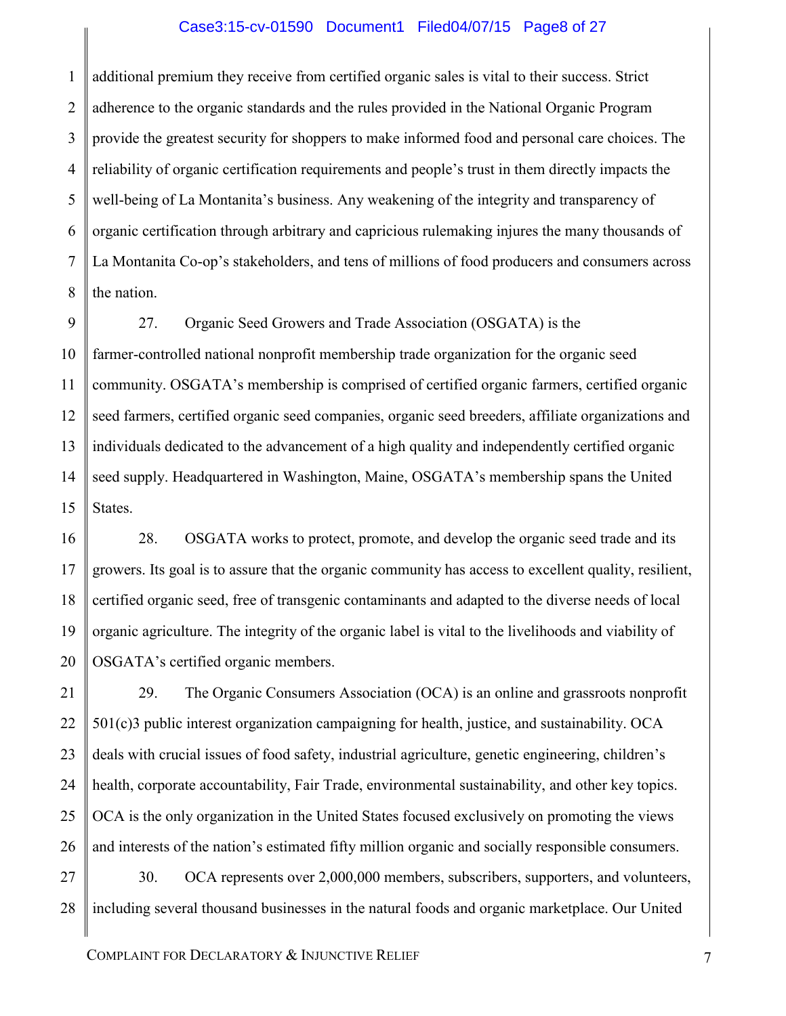### Case3:15-cv-01590 Document1 Filed04/07/15 Page8 of 27

1 2 3 4 5 6 7 8 additional premium they receive from certified organic sales is vital to their success. Strict adherence to the organic standards and the rules provided in the National Organic Program provide the greatest security for shoppers to make informed food and personal care choices. The reliability of organic certification requirements and people's trust in them directly impacts the well-being of La Montanita's business. Any weakening of the integrity and transparency of organic certification through arbitrary and capricious rulemaking injures the many thousands of La Montanita Co-op's stakeholders, and tens of millions of food producers and consumers across the nation.

9 10 11 12 13 14 15 27. Organic Seed Growers and Trade Association (OSGATA) is the farmer-controlled national nonprofit membership trade organization for the organic seed community. OSGATA's membership is comprised of certified organic farmers, certified organic seed farmers, certified organic seed companies, organic seed breeders, affiliate organizations and individuals dedicated to the advancement of a high quality and independently certified organic seed supply. Headquartered in Washington, Maine, OSGATA's membership spans the United States.

16 17 18 19 20 28. OSGATA works to protect, promote, and develop the organic seed trade and its growers. Its goal is to assure that the organic community has access to excellent quality, resilient, certified organic seed, free of transgenic contaminants and adapted to the diverse needs of local organic agriculture. The integrity of the organic label is vital to the livelihoods and viability of OSGATA's certified organic members.

21 22 23 24 25 26 29. The Organic Consumers Association (OCA) is an online and grassroots nonprofit 501(c)3 public interest organization campaigning for health, justice, and sustainability. OCA deals with crucial issues of food safety, industrial agriculture, genetic engineering, children's health, corporate accountability, Fair Trade, environmental sustainability, and other key topics. OCA is the only organization in the United States focused exclusively on promoting the views and interests of the nation's estimated fifty million organic and socially responsible consumers.

27 28 30. OCA represents over 2,000,000 members, subscribers, supporters, and volunteers, including several thousand businesses in the natural foods and organic marketplace. Our United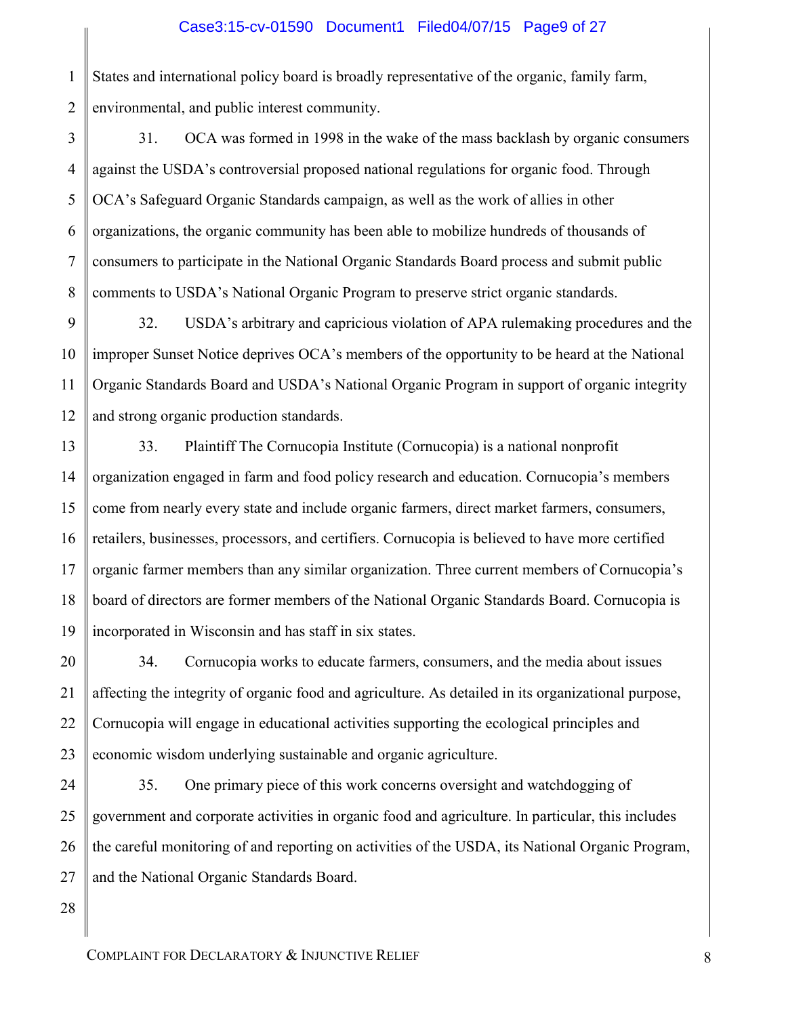1 2 States and international policy board is broadly representative of the organic, family farm, environmental, and public interest community.

3 4 5 6 7 8 31. OCA was formed in 1998 in the wake of the mass backlash by organic consumers against the USDA's controversial proposed national regulations for organic food. Through OCA's Safeguard Organic Standards campaign, as well as the work of allies in other organizations, the organic community has been able to mobilize hundreds of thousands of consumers to participate in the National Organic Standards Board process and submit public comments to USDA's National Organic Program to preserve strict organic standards.

9 10 11 12 32. USDA's arbitrary and capricious violation of APA rulemaking procedures and the improper Sunset Notice deprives OCA's members of the opportunity to be heard at the National Organic Standards Board and USDA's National Organic Program in support of organic integrity and strong organic production standards.

13 14 15 16 17 18 19 33. Plaintiff The Cornucopia Institute (Cornucopia) is a national nonprofit organization engaged in farm and food policy research and education. Cornucopia's members come from nearly every state and include organic farmers, direct market farmers, consumers, retailers, businesses, processors, and certifiers. Cornucopia is believed to have more certified organic farmer members than any similar organization. Three current members of Cornucopia's board of directors are former members of the National Organic Standards Board. Cornucopia is incorporated in Wisconsin and has staff in six states.

20 21 22 23 34. Cornucopia works to educate farmers, consumers, and the media about issues affecting the integrity of organic food and agriculture. As detailed in its organizational purpose, Cornucopia will engage in educational activities supporting the ecological principles and economic wisdom underlying sustainable and organic agriculture.

24 25 26 27 35. One primary piece of this work concerns oversight and watchdogging of government and corporate activities in organic food and agriculture. In particular, this includes the careful monitoring of and reporting on activities of the USDA, its National Organic Program, and the National Organic Standards Board.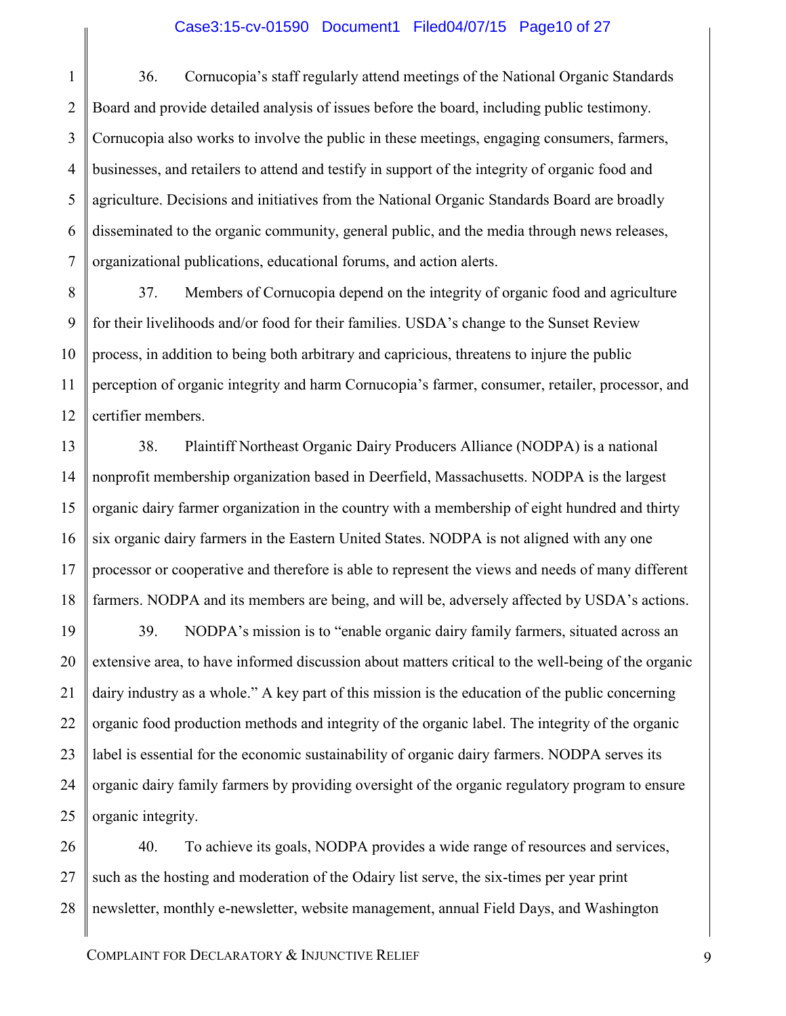### Case3:15-cv-01590 Document1 Filed04/07/15 Page10 of 27

1 2 3 4 5 6 7 36. Cornucopia's staff regularly attend meetings of the National Organic Standards Board and provide detailed analysis of issues before the board, including public testimony. Cornucopia also works to involve the public in these meetings, engaging consumers, farmers, businesses, and retailers to attend and testify in support of the integrity of organic food and agriculture. Decisions and initiatives from the National Organic Standards Board are broadly disseminated to the organic community, general public, and the media through news releases, organizational publications, educational forums, and action alerts.

8 9 10 11 12 37. Members of Cornucopia depend on the integrity of organic food and agriculture for their livelihoods and/or food for their families. USDA's change to the Sunset Review process, in addition to being both arbitrary and capricious, threatens to injure the public perception of organic integrity and harm Cornucopia's farmer, consumer, retailer, processor, and certifier members.

13 14 15 16 17 18 38. Plaintiff Northeast Organic Dairy Producers Alliance (NODPA) is a national nonprofit membership organization based in Deerfield, Massachusetts. NODPA is the largest organic dairy farmer organization in the country with a membership of eight hundred and thirty six organic dairy farmers in the Eastern United States. NODPA is not aligned with any one processor or cooperative and therefore is able to represent the views and needs of many different farmers. NODPA and its members are being, and will be, adversely affected by USDA's actions.

19 20 21 22 23 24 25 39. NODPA's mission is to "enable organic dairy family farmers, situated across an extensive area, to have informed discussion about matters critical to the well-being of the organic dairy industry as a whole." A key part of this mission is the education of the public concerning organic food production methods and integrity of the organic label. The integrity of the organic label is essential for the economic sustainability of organic dairy farmers. NODPA serves its organic dairy family farmers by providing oversight of the organic regulatory program to ensure organic integrity.

26 27 28 40. To achieve its goals, NODPA provides a wide range of resources and services, such as the hosting and moderation of the Odairy list serve, the six-times per year print newsletter, monthly e-newsletter, website management, annual Field Days, and Washington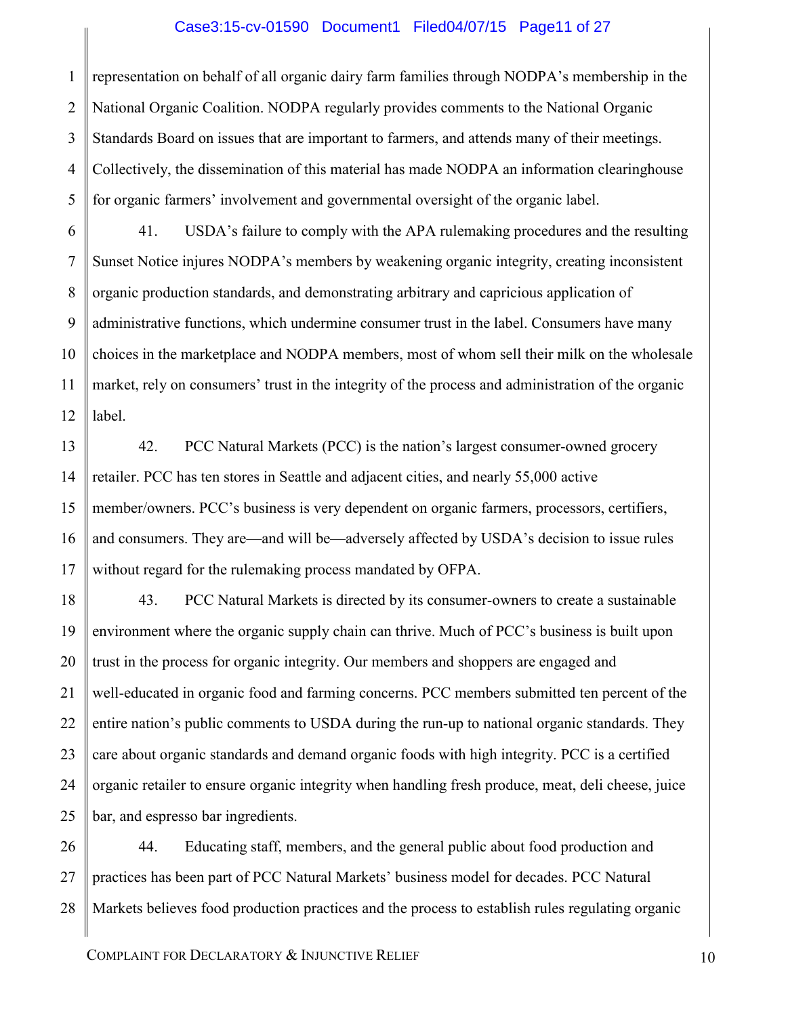### Case3:15-cv-01590 Document1 Filed04/07/15 Page11 of 27

1 2 3 4 5 representation on behalf of all organic dairy farm families through NODPA's membership in the National Organic Coalition. NODPA regularly provides comments to the National Organic Standards Board on issues that are important to farmers, and attends many of their meetings. Collectively, the dissemination of this material has made NODPA an information clearinghouse for organic farmers' involvement and governmental oversight of the organic label.

6 7 8 9 10 11 12 41. USDA's failure to comply with the APA rulemaking procedures and the resulting Sunset Notice injures NODPA's members by weakening organic integrity, creating inconsistent organic production standards, and demonstrating arbitrary and capricious application of administrative functions, which undermine consumer trust in the label. Consumers have many choices in the marketplace and NODPA members, most of whom sell their milk on the wholesale market, rely on consumers' trust in the integrity of the process and administration of the organic label.

13 14 15 16 17 42. PCC Natural Markets (PCC) is the nation's largest consumer-owned grocery retailer. PCC has ten stores in Seattle and adjacent cities, and nearly 55,000 active member/owners. PCC's business is very dependent on organic farmers, processors, certifiers, and consumers. They are—and will be—adversely affected by USDA's decision to issue rules without regard for the rulemaking process mandated by OFPA.

18 19 20 21 22 23 24 25 43. PCC Natural Markets is directed by its consumer-owners to create a sustainable environment where the organic supply chain can thrive. Much of PCC's business is built upon trust in the process for organic integrity. Our members and shoppers are engaged and well-educated in organic food and farming concerns. PCC members submitted ten percent of the entire nation's public comments to USDA during the run-up to national organic standards. They care about organic standards and demand organic foods with high integrity. PCC is a certified organic retailer to ensure organic integrity when handling fresh produce, meat, deli cheese, juice bar, and espresso bar ingredients.

26 27 28 44. Educating staff, members, and the general public about food production and practices has been part of PCC Natural Markets' business model for decades. PCC Natural Markets believes food production practices and the process to establish rules regulating organic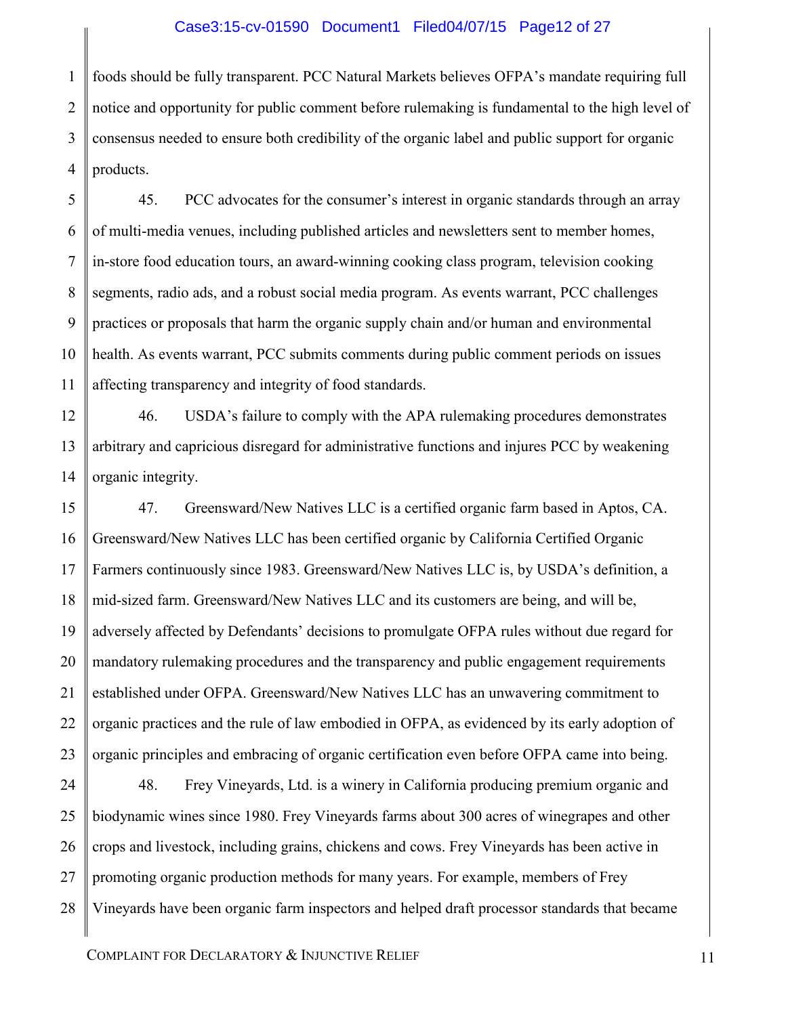### Case3:15-cv-01590 Document1 Filed04/07/15 Page12 of 27

1 2 3 4 foods should be fully transparent. PCC Natural Markets believes OFPA's mandate requiring full notice and opportunity for public comment before rulemaking is fundamental to the high level of consensus needed to ensure both credibility of the organic label and public support for organic products.

5 6 7 8 9 10 11 45. PCC advocates for the consumer's interest in organic standards through an array of multi-media venues, including published articles and newsletters sent to member homes, in-store food education tours, an award-winning cooking class program, television cooking segments, radio ads, and a robust social media program. As events warrant, PCC challenges practices or proposals that harm the organic supply chain and/or human and environmental health. As events warrant, PCC submits comments during public comment periods on issues affecting transparency and integrity of food standards.

12 13 14 46. USDA's failure to comply with the APA rulemaking procedures demonstrates arbitrary and capricious disregard for administrative functions and injures PCC by weakening organic integrity.

15 16 17 18 19 20 21 22 23 47. Greensward/New Natives LLC is a certified organic farm based in Aptos, CA. Greensward/New Natives LLC has been certified organic by California Certified Organic Farmers continuously since 1983. Greensward/New Natives LLC is, by USDA's definition, a mid-sized farm. Greensward/New Natives LLC and its customers are being, and will be, adversely affected by Defendants' decisions to promulgate OFPA rules without due regard for mandatory rulemaking procedures and the transparency and public engagement requirements established under OFPA. Greensward/New Natives LLC has an unwavering commitment to organic practices and the rule of law embodied in OFPA, as evidenced by its early adoption of organic principles and embracing of organic certification even before OFPA came into being.

24 25 26 27 28 48. Frey Vineyards, Ltd. is a winery in California producing premium organic and biodynamic wines since 1980. Frey Vineyards farms about 300 acres of winegrapes and other crops and livestock, including grains, chickens and cows. Frey Vineyards has been active in promoting organic production methods for many years. For example, members of Frey Vineyards have been organic farm inspectors and helped draft processor standards that became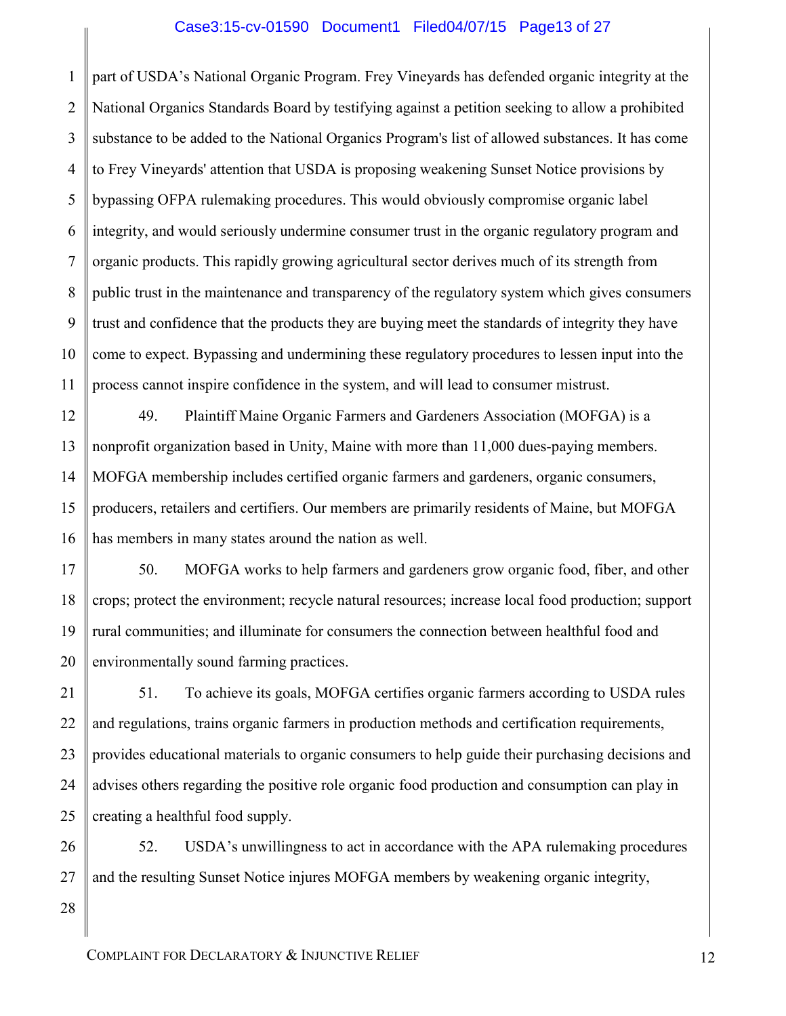### Case3:15-cv-01590 Document1 Filed04/07/15 Page13 of 27

1 2 3 4 5 6 7 8 9 10 11 part of USDA's National Organic Program. Frey Vineyards has defended organic integrity at the National Organics Standards Board by testifying against a petition seeking to allow a prohibited substance to be added to the National Organics Program's list of allowed substances. It has come to Frey Vineyards' attention that USDA is proposing weakening Sunset Notice provisions by bypassing OFPA rulemaking procedures. This would obviously compromise organic label integrity, and would seriously undermine consumer trust in the organic regulatory program and organic products. This rapidly growing agricultural sector derives much of its strength from public trust in the maintenance and transparency of the regulatory system which gives consumers trust and confidence that the products they are buying meet the standards of integrity they have come to expect. Bypassing and undermining these regulatory procedures to lessen input into the process cannot inspire confidence in the system, and will lead to consumer mistrust.

12 13 14 15 16 49. Plaintiff Maine Organic Farmers and Gardeners Association (MOFGA) is a nonprofit organization based in Unity, Maine with more than 11,000 dues-paying members. MOFGA membership includes certified organic farmers and gardeners, organic consumers, producers, retailers and certifiers. Our members are primarily residents of Maine, but MOFGA has members in many states around the nation as well.

17 18 19 20 50. MOFGA works to help farmers and gardeners grow organic food, fiber, and other crops; protect the environment; recycle natural resources; increase local food production; support rural communities; and illuminate for consumers the connection between healthful food and environmentally sound farming practices.

21 22 23 24 25 51. To achieve its goals, MOFGA certifies organic farmers according to USDA rules and regulations, trains organic farmers in production methods and certification requirements, provides educational materials to organic consumers to help guide their purchasing decisions and advises others regarding the positive role organic food production and consumption can play in creating a healthful food supply.

26 27 52. USDA's unwillingness to act in accordance with the APA rulemaking procedures and the resulting Sunset Notice injures MOFGA members by weakening organic integrity,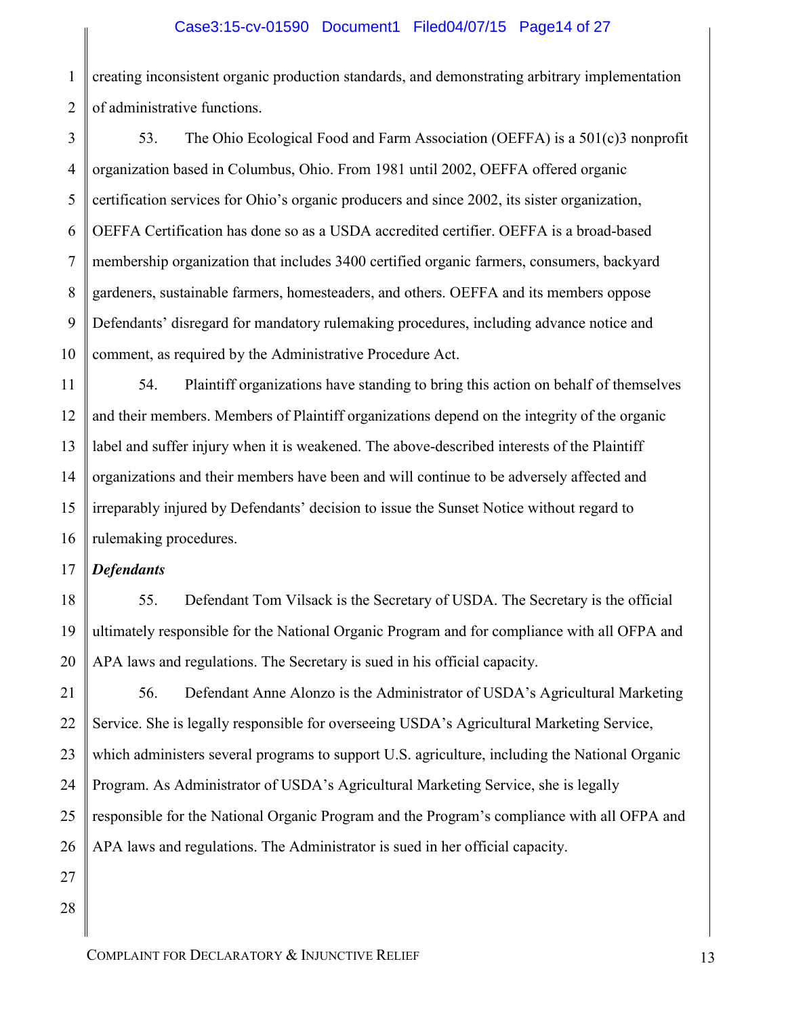1 2 creating inconsistent organic production standards, and demonstrating arbitrary implementation of administrative functions.

3 4 5 6 7 8 9 10 53. The Ohio Ecological Food and Farm Association (OEFFA) is a 501(c)3 nonprofit organization based in Columbus, Ohio. From 1981 until 2002, OEFFA offered organic certification services for Ohio's organic producers and since 2002, its sister organization, OEFFA Certification has done so as a USDA accredited certifier. OEFFA is a broad-based membership organization that includes 3400 certified organic farmers, consumers, backyard gardeners, sustainable farmers, homesteaders, and others. OEFFA and its members oppose Defendants' disregard for mandatory rulemaking procedures, including advance notice and comment, as required by the Administrative Procedure Act.

11 12 13 14 15 16 54. Plaintiff organizations have standing to bring this action on behalf of themselves and their members. Members of Plaintiff organizations depend on the integrity of the organic label and suffer injury when it is weakened. The above-described interests of the Plaintiff organizations and their members have been and will continue to be adversely affected and irreparably injured by Defendants' decision to issue the Sunset Notice without regard to rulemaking procedures.

### 17 *Defendants*

55. Defendant Tom Vilsack is the Secretary of USDA. The Secretary is the official ultimately responsible for the National Organic Program and for compliance with all OFPA and APA laws and regulations. The Secretary is sued in his official capacity.

56. Defendant Anne Alonzo is the Administrator of USDA's Agricultural Marketing Service. She is legally responsible for overseeing USDA's Agricultural Marketing Service, which administers several programs to support U.S. agriculture, including the National Organic Program. As Administrator of USDA's Agricultural Marketing Service, she is legally responsible for the National Organic Program and the Program's compliance with all OFPA and APA laws and regulations. The Administrator is sued in her official capacity.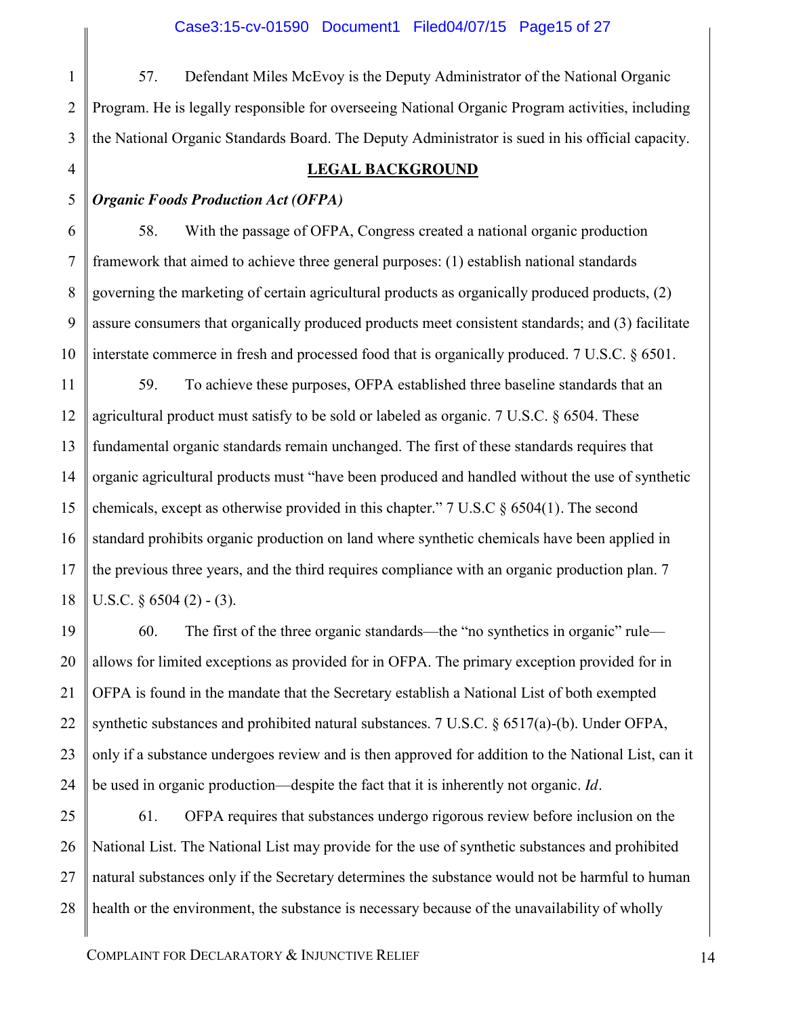57. Defendant Miles McEvoy is the Deputy Administrator of the National Organic Program. He is legally responsible for overseeing National Organic Program activities, including the National Organic Standards Board. The Deputy Administrator is sued in his official capacity.

### **LEGAL BACKGROUND**

#### 5 *Organic Foods Production Act (OFPA)*

1

2

3

4

6

7

8

9

10

58. With the passage of OFPA, Congress created a national organic production framework that aimed to achieve three general purposes: (1) establish national standards governing the marketing of certain agricultural products as organically produced products, (2) assure consumers that organically produced products meet consistent standards; and (3) facilitate interstate commerce in fresh and processed food that is organically produced. 7 U.S.C. § 6501.

11 12 13 14 15 16 17 18 59. To achieve these purposes, OFPA established three baseline standards that an agricultural product must satisfy to be sold or labeled as organic. 7 U.S.C. § 6504. These fundamental organic standards remain unchanged. The first of these standards requires that organic agricultural products must "have been produced and handled without the use of synthetic chemicals, except as otherwise provided in this chapter." 7 U.S.C § 6504(1)*.* The second standard prohibits organic production on land where synthetic chemicals have been applied in the previous three years, and the third requires compliance with an organic production plan. 7 U.S.C.  $\frac{6504}{2}$  - (3).

19 20 21 22 23 24 60. The first of the three organic standards—the "no synthetics in organic" rule allows for limited exceptions as provided for in OFPA. The primary exception provided for in OFPA is found in the mandate that the Secretary establish a National List of both exempted synthetic substances and prohibited natural substances. 7 U.S.C. § 6517(a)-(b). Under OFPA, only if a substance undergoes review and is then approved for addition to the National List, can it be used in organic production—despite the fact that it is inherently not organic. *Id.*

25 26 27 28 61. OFPA requires that substances undergo rigorous review before inclusion on the National List. The National List may provide for the use of synthetic substances and prohibited natural substances only if the Secretary determines the substance would not be harmful to human health or the environment, the substance is necessary because of the unavailability of wholly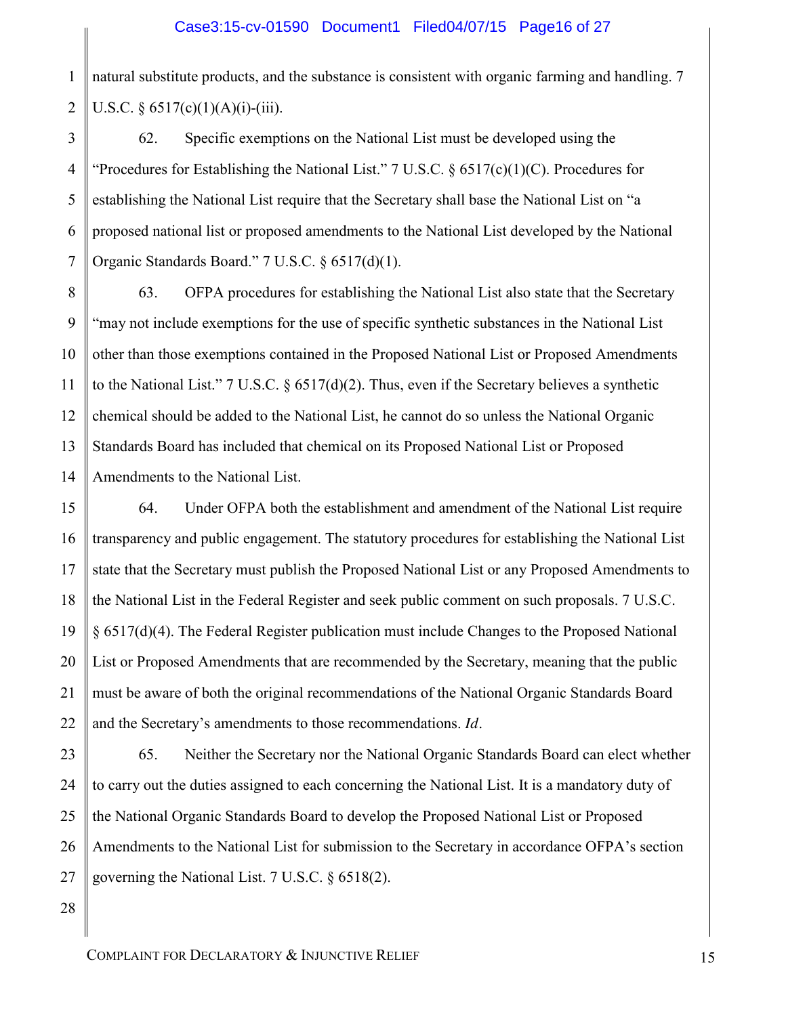1 2 natural substitute products, and the substance is consistent with organic farming and handling. 7 U.S.C. §  $6517(c)(1)(A)(i)-(iii)$ .

3 4 5 6 7 62. Specific exemptions on the National List must be developed using the "Procedures for Establishing the National List." 7 U.S.C.  $\S$  6517(c)(1)(C). Procedures for establishing the National List require that the Secretary shall base the National List on "a proposed national list or proposed amendments to the National List developed by the National Organic Standards Board." 7 U.S.C. § 6517(d)(1).

8 9 10 11 12 13 14 63. OFPA procedures for establishing the National List also state that the Secretary "may not include exemptions for the use of specific synthetic substances in the National List other than those exemptions contained in the Proposed National List or Proposed Amendments to the National List." 7 U.S.C. § 6517(d)(2). Thus, even if the Secretary believes a synthetic chemical should be added to the National List, he cannot do so unless the National Organic Standards Board has included that chemical on its Proposed National List or Proposed Amendments to the National List.

15 16 17 18 19 20 21 22 64. Under OFPA both the establishment and amendment of the National List require transparency and public engagement. The statutory procedures for establishing the National List state that the Secretary must publish the Proposed National List or any Proposed Amendments to the National List in the Federal Register and seek public comment on such proposals. 7 U.S.C. § 6517(d)(4). The Federal Register publication must include Changes to the Proposed National List or Proposed Amendments that are recommended by the Secretary, meaning that the public must be aware of both the original recommendations of the National Organic Standards Board and the Secretary's amendments to those recommendations. *Id.*

23 24 25 26 27 65. Neither the Secretary nor the National Organic Standards Board can elect whether to carry out the duties assigned to each concerning the National List. It is a mandatory duty of the National Organic Standards Board to develop the Proposed National List or Proposed Amendments to the National List for submission to the Secretary in accordance OFPA's section governing the National List. 7 U.S.C. § 6518(2).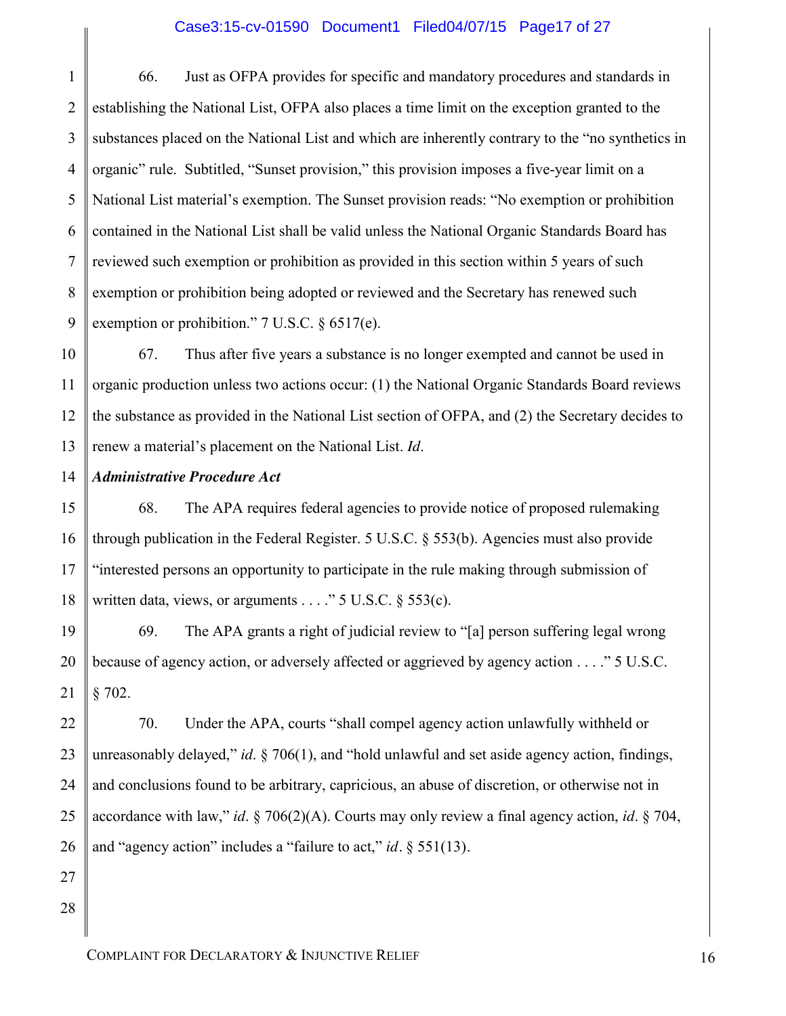### Case3:15-cv-01590 Document1 Filed04/07/15 Page17 of 27

1 2 3 4 5 6 7 8 9 66. Just as OFPA provides for specific and mandatory procedures and standards in establishing the National List, OFPA also places a time limit on the exception granted to the substances placed on the National List and which are inherently contrary to the "no synthetics in organic" rule. Subtitled, "Sunset provision," this provision imposes a five-year limit on a National List material's exemption. The Sunset provision reads: "No exemption or prohibition contained in the National List shall be valid unless the National Organic Standards Board has reviewed such exemption or prohibition as provided in this section within 5 years of such exemption or prohibition being adopted or reviewed and the Secretary has renewed such exemption or prohibition." 7 U.S.C. § 6517(e).

10 11 12 13 67. Thus after five years a substance is no longer exempted and cannot be used in organic production unless two actions occur: (1) the National Organic Standards Board reviews the substance as provided in the National List section of OFPA, and (2) the Secretary decides to renew a material's placement on the National List. *Id*.

#### 14 *Administrative Procedure Act*

68. The APA requires federal agencies to provide notice of proposed rulemaking through publication in the Federal Register. 5 U.S.C. § 553(b). Agencies must also provide "interested persons an opportunity to participate in the rule making through submission of written data, views, or arguments  $\ldots$  " 5 U.S.C. § 553(c).

19 20 21 69. The APA grants a right of judicial review to "[a] person suffering legal wrong because of agency action, or adversely affected or aggrieved by agency action . . . ." 5 U.S.C. § 702.

22 23 24 25 26 70. Under the APA, courts "shall compel agency action unlawfully withheld or unreasonably delayed," *id*. § 706(1), and "hold unlawful and set aside agency action, findings, and conclusions found to be arbitrary, capricious, an abuse of discretion, or otherwise not in accordance with law," *id*. § 706(2)(A). Courts may only review a final agency action, *id*. § 704, and "agency action" includes a "failure to act," *id.* § 551(13)*.*

27 28

15

16

17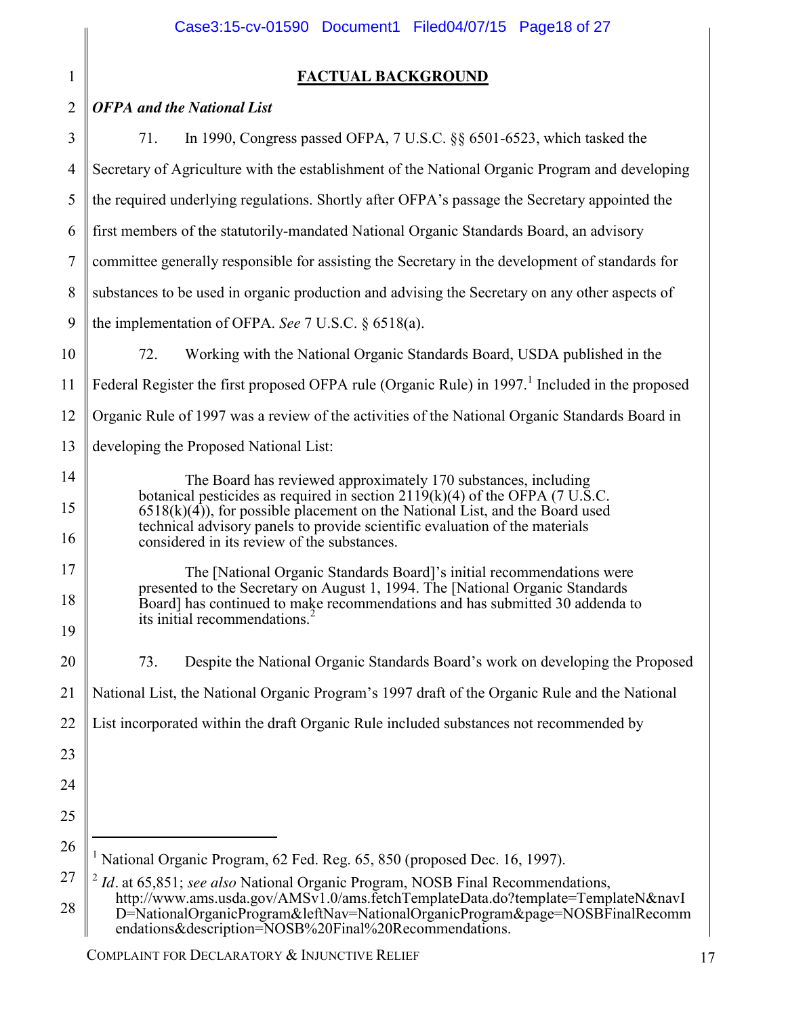## **FACTUAL BACKGROUND**

| $\overline{2}$ | <b>OFPA</b> and the National List                                                                                                                                                                                                                                                                                               |  |  |
|----------------|---------------------------------------------------------------------------------------------------------------------------------------------------------------------------------------------------------------------------------------------------------------------------------------------------------------------------------|--|--|
| 3              | In 1990, Congress passed OFPA, 7 U.S.C. §§ 6501-6523, which tasked the<br>71.                                                                                                                                                                                                                                                   |  |  |
| 4              | Secretary of Agriculture with the establishment of the National Organic Program and developing                                                                                                                                                                                                                                  |  |  |
| 5              | the required underlying regulations. Shortly after OFPA's passage the Secretary appointed the                                                                                                                                                                                                                                   |  |  |
| 6              | first members of the statutorily-mandated National Organic Standards Board, an advisory                                                                                                                                                                                                                                         |  |  |
| 7              | committee generally responsible for assisting the Secretary in the development of standards for                                                                                                                                                                                                                                 |  |  |
| 8              | substances to be used in organic production and advising the Secretary on any other aspects of                                                                                                                                                                                                                                  |  |  |
| 9              | the implementation of OFPA. See 7 U.S.C. $\S$ 6518(a).                                                                                                                                                                                                                                                                          |  |  |
| 10             | Working with the National Organic Standards Board, USDA published in the<br>72.                                                                                                                                                                                                                                                 |  |  |
| 11             | Federal Register the first proposed OFPA rule (Organic Rule) in 1997. <sup>1</sup> Included in the proposed                                                                                                                                                                                                                     |  |  |
| 12             | Organic Rule of 1997 was a review of the activities of the National Organic Standards Board in                                                                                                                                                                                                                                  |  |  |
| 13             | developing the Proposed National List:                                                                                                                                                                                                                                                                                          |  |  |
| 14<br>15       | The Board has reviewed approximately 170 substances, including<br>botanical pesticides as required in section $2119(k)(4)$ of the OFPA (7 U.S.C.<br>$6518(k)(4)$ , for possible placement on the National List, and the Board used<br>technical advisory panels to provide scientific evaluation of the materials               |  |  |
| 16             | considered in its review of the substances.                                                                                                                                                                                                                                                                                     |  |  |
| 17             | The [National Organic Standards Board]'s initial recommendations were<br>presented to the Secretary on August 1, 1994. The [National Organic Standards]                                                                                                                                                                         |  |  |
| 18<br>19       | Board] has continued to make recommendations and has submitted 30 addenda to<br>its initial recommendations.                                                                                                                                                                                                                    |  |  |
| 20             | Despite the National Organic Standards Board's work on developing the Proposed<br>73.                                                                                                                                                                                                                                           |  |  |
| 21             | National List, the National Organic Program's 1997 draft of the Organic Rule and the National                                                                                                                                                                                                                                   |  |  |
| 22             | List incorporated within the draft Organic Rule included substances not recommended by                                                                                                                                                                                                                                          |  |  |
| 23             |                                                                                                                                                                                                                                                                                                                                 |  |  |
| 24             |                                                                                                                                                                                                                                                                                                                                 |  |  |
| 25             |                                                                                                                                                                                                                                                                                                                                 |  |  |
| 26             | National Organic Program, 62 Fed. Reg. 65, 850 (proposed Dec. 16, 1997).                                                                                                                                                                                                                                                        |  |  |
| 27<br>28       | $\frac{2}{3}$ <i>Id.</i> at 65,851; see also National Organic Program, NOSB Final Recommendations,<br>http://www.ams.usda.gov/AMSv1.0/ams.fetchTemplateData.do?template=TemplateN&navI<br>D=NationalOrganicProgram&leftNav=NationalOrganicProgram&page=NOSBFinalRecomm<br>endations&description=NOSB%20Final%20Recommendations. |  |  |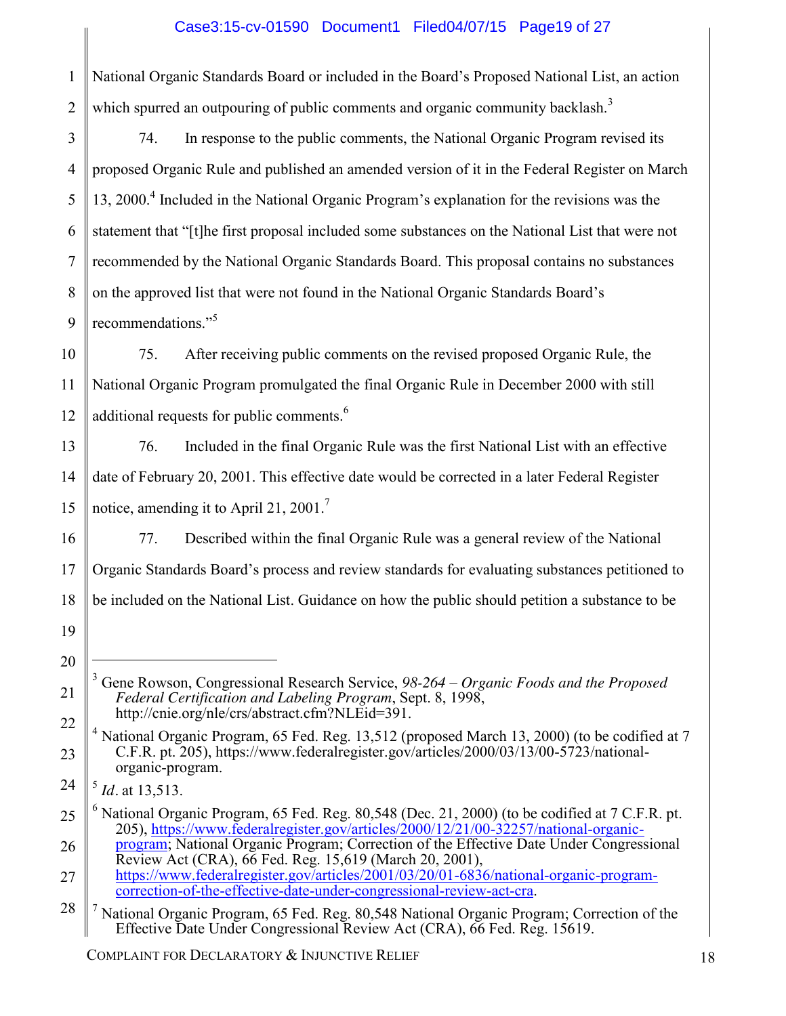### Case3:15-cv-01590 Document1 Filed04/07/15 Page19 of 27

1 2 National Organic Standards Board or included in the Board's Proposed National List, an action which spurred an outpouring of public comments and organic community backlash.<sup>3</sup>

3 4 5 6 7 8 9 74. In response to the public comments, the National Organic Program revised its proposed Organic Rule and published an amended version of it in the Federal Register on March 13, 2000.4 Included in the National Organic Program's explanation for the revisions was the statement that "[t]he first proposal included some substances on the National List that were not recommended by the National Organic Standards Board. This proposal contains no substances on the approved list that were not found in the National Organic Standards Board's recommendations."<sup>5</sup>

10 11 12 75. After receiving public comments on the revised proposed Organic Rule, the National Organic Program promulgated the final Organic Rule in December 2000 with still additional requests for public comments.<sup>6</sup>

13 14 15 76. Included in the final Organic Rule was the first National List with an effective date of February 20, 2001. This effective date would be corrected in a later Federal Register notice, amending it to April 21, 2001.<sup>7</sup>

16 17 18 77. Described within the final Organic Rule was a general review of the National Organic Standards Board's process and review standards for evaluating substances petitioned to be included on the National List. Guidance on how the public should petition a substance to be

19

20

 $\overline{a}$ 

21

22

<sup>3</sup> Gene Rowson, Congressional Research Service, *98-264 – Organic Foods and the Proposed Federal Certification and Labeling Program*, Sept. 8, 1998, http://cnie.org/nle/crs/abstract.cfm?NLEid=391.

<sup>&</sup>lt;sup>4</sup> National Organic Program, 65 Fed. Reg. 13,512 (proposed March 13, 2000) (to be codified at 7 C.F.R. pt. 205), https://www.federalregister.gov/articles/2000/03/13/00-5723/national- organic-program.

<sup>24</sup> <sup>5</sup> *Id.* at 13,513.

<sup>25</sup>  $6$  National Organic Program, 65 Fed. Reg. 80,548 (Dec. 21, 2000) (to be codified at 7 C.F.R. pt. 205), https://www.federalregister.gov/articles/2000/12/21/00-32257/national-organic-

<sup>26</sup> program; National Organic Program; Correction of the Effective Date Under Congressional Review Act (CRA), 66 Fed. Reg. 15,619 (March 20, 2001),

<sup>27</sup> https://www.federalregister.gov/articles/2001/03/20/01-6836/national-organic-program-<br>correction-of-the-effective-date-under-congressional-review-act-cra.

<sup>28</sup> National Organic Program, 65 Fed. Reg. 80,548 National Organic Program; Correction of the Effective Date Under Congressional Review Act (CRA), 66 Fed. Reg. 15619.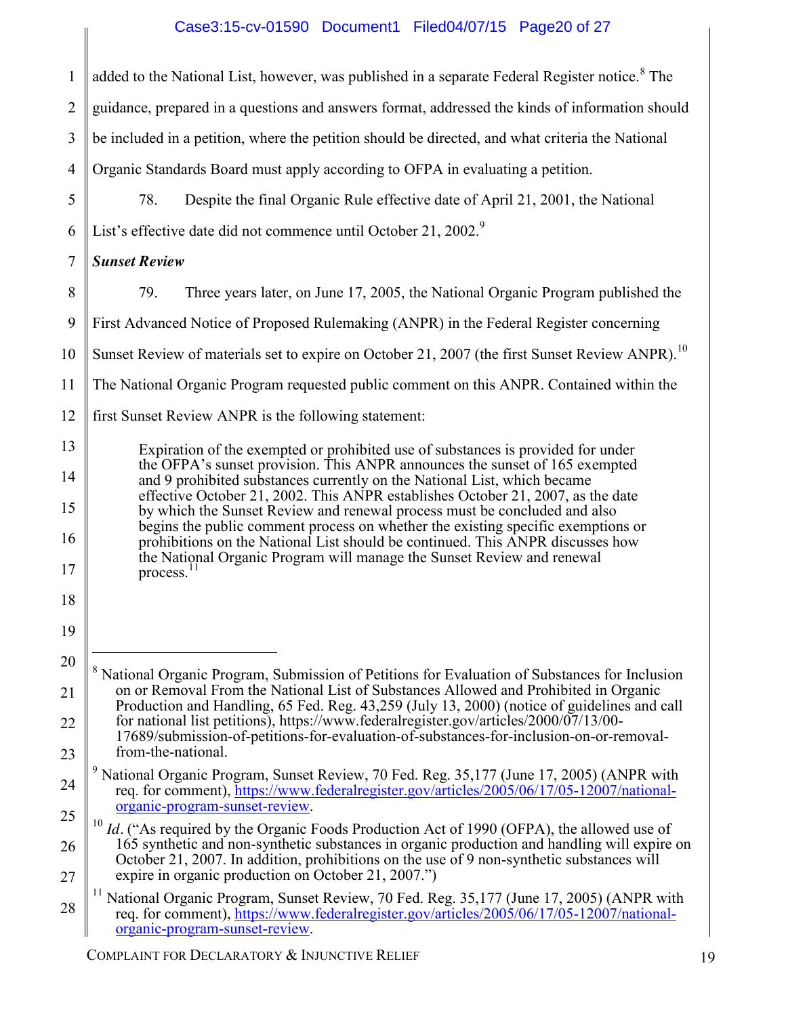# Case3:15-cv-01590 Document1 Filed04/07/15 Page20 of 27

 $\begin{array}{c} \hline \end{array}$ 

| $\mathbf{1}$   | added to the National List, however, was published in a separate Federal Register notice. <sup>8</sup> The                                                                                                                                                                                                                                                                                                  |  |  |  |
|----------------|-------------------------------------------------------------------------------------------------------------------------------------------------------------------------------------------------------------------------------------------------------------------------------------------------------------------------------------------------------------------------------------------------------------|--|--|--|
| $\overline{2}$ | guidance, prepared in a questions and answers format, addressed the kinds of information should                                                                                                                                                                                                                                                                                                             |  |  |  |
| 3              | be included in a petition, where the petition should be directed, and what criteria the National                                                                                                                                                                                                                                                                                                            |  |  |  |
| $\overline{4}$ | Organic Standards Board must apply according to OFPA in evaluating a petition.                                                                                                                                                                                                                                                                                                                              |  |  |  |
| 5              | Despite the final Organic Rule effective date of April 21, 2001, the National<br>78.                                                                                                                                                                                                                                                                                                                        |  |  |  |
| 6              | List's effective date did not commence until October 21, 2002. <sup>9</sup>                                                                                                                                                                                                                                                                                                                                 |  |  |  |
| 7              | <b>Sunset Review</b>                                                                                                                                                                                                                                                                                                                                                                                        |  |  |  |
| 8              | 79.<br>Three years later, on June 17, 2005, the National Organic Program published the                                                                                                                                                                                                                                                                                                                      |  |  |  |
| 9              | First Advanced Notice of Proposed Rulemaking (ANPR) in the Federal Register concerning                                                                                                                                                                                                                                                                                                                      |  |  |  |
| 10             | Sunset Review of materials set to expire on October 21, 2007 (the first Sunset Review ANPR). <sup>10</sup>                                                                                                                                                                                                                                                                                                  |  |  |  |
| 11             | The National Organic Program requested public comment on this ANPR. Contained within the                                                                                                                                                                                                                                                                                                                    |  |  |  |
| 12             | first Sunset Review ANPR is the following statement:                                                                                                                                                                                                                                                                                                                                                        |  |  |  |
| 13             | Expiration of the exempted or prohibited use of substances is provided for under<br>the OFPA's sunset provision. This ANPR announces the sunset of 165 exempted<br>and 9 prohibited substances currently on the National List, which became<br>effective October 21, 2002. This ANPR establishes October 21, 2007, as the date<br>by which the Sunset Review and renewal process must be concluded and also |  |  |  |
| 14             |                                                                                                                                                                                                                                                                                                                                                                                                             |  |  |  |
| 15             |                                                                                                                                                                                                                                                                                                                                                                                                             |  |  |  |
| 16             | begins the public comment process on whether the existing specific exemptions or<br>prohibitions on the National List should be continued. This ANPR discusses how                                                                                                                                                                                                                                          |  |  |  |
| 17             | the National Organic Program will manage the Sunset Review and renewal<br>process.                                                                                                                                                                                                                                                                                                                          |  |  |  |
| 18             |                                                                                                                                                                                                                                                                                                                                                                                                             |  |  |  |
| 19             |                                                                                                                                                                                                                                                                                                                                                                                                             |  |  |  |
| 20             | <sup>8</sup> National Organic Program, Submission of Petitions for Evaluation of Substances for Inclusion                                                                                                                                                                                                                                                                                                   |  |  |  |
| 21             | on or Removal From the National List of Substances Allowed and Prohibited in Organic<br>Production and Handling, 65 Fed. Reg. 43,259 (July 13, 2000) (notice of guidelines and call                                                                                                                                                                                                                         |  |  |  |
| 22             | for national list petitions), https://www.federalregister.gov/articles/2000/07/13/00-<br>17689/submission-of-petitions-for-evaluation-of-substances-for-inclusion-on-or-removal-                                                                                                                                                                                                                            |  |  |  |
| 23             | from-the-national.                                                                                                                                                                                                                                                                                                                                                                                          |  |  |  |
| 24             | <sup>9</sup> National Organic Program, Sunset Review, 70 Fed. Reg. 35,177 (June 17, 2005) (ANPR with<br>req. for comment), https://www.federalregister.gov/articles/2005/06/17/05-12007/national-<br>organic-program-sunset-review.                                                                                                                                                                         |  |  |  |
| 25             | $10$ <i>Id.</i> ("As required by the Organic Foods Production Act of 1990 (OFPA), the allowed use of<br>165 synthetic and non-synthetic substances in organic production and handling will expire on                                                                                                                                                                                                        |  |  |  |
| 26<br>27       | October 21, 2007. In addition, prohibitions on the use of 9 non-synthetic substances will<br>expire in organic production on October 21, 2007.")                                                                                                                                                                                                                                                            |  |  |  |
| 28             | <sup>11</sup> National Organic Program, Sunset Review, 70 Fed. Reg. 35,177 (June 17, 2005) (ANPR with<br>req. for comment), https://www.federalregister.gov/articles/2005/06/17/05-12007/national-<br>organic-program-sunset-review.                                                                                                                                                                        |  |  |  |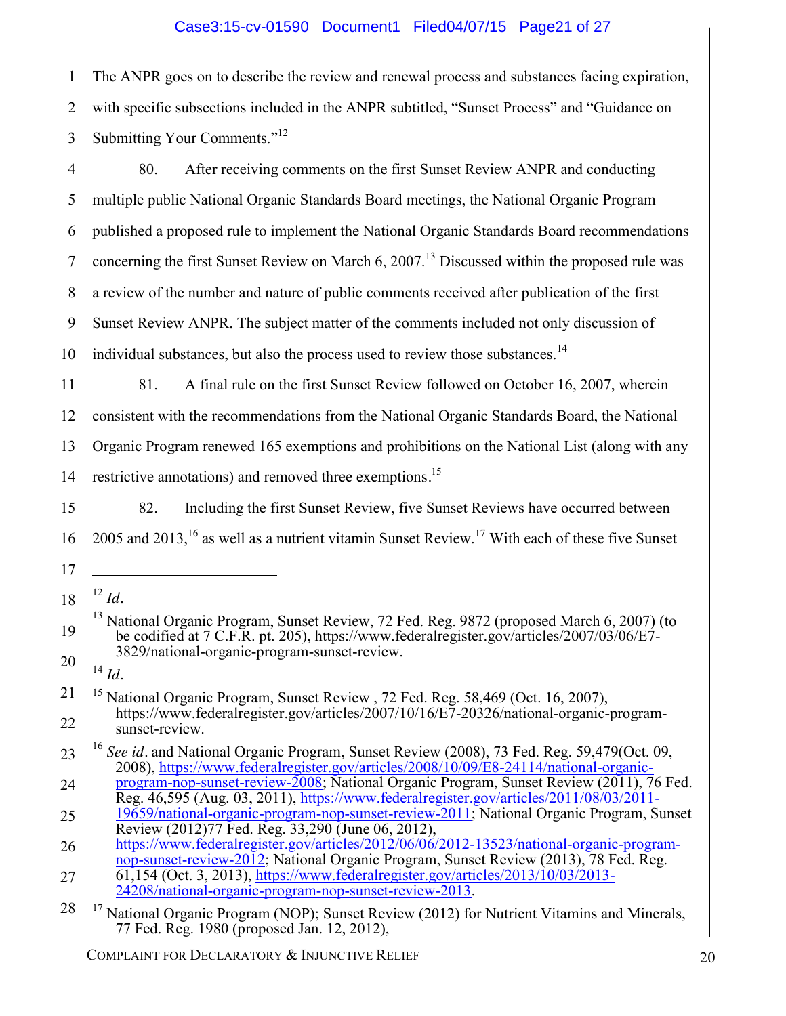### Case3:15-cv-01590 Document1 Filed04/07/15 Page21 of 27

1 2 3 The ANPR goes on to describe the review and renewal process and substances facing expiration, with specific subsections included in the ANPR subtitled, "Sunset Process" and "Guidance on Submitting Your Comments."<sup>12</sup>

4 5 6 7 8 9 10 80. After receiving comments on the first Sunset Review ANPR and conducting multiple public National Organic Standards Board meetings, the National Organic Program published a proposed rule to implement the National Organic Standards Board recommendations concerning the first Sunset Review on March  $6, 2007$ .<sup>13</sup> Discussed within the proposed rule was a review of the number and nature of public comments received after publication of the first Sunset Review ANPR. The subject matter of the comments included not only discussion of individual substances, but also the process used to review those substances.<sup>14</sup>

11 12 13 14 81. A final rule on the first Sunset Review followed on October 16, 2007, wherein consistent with the recommendations from the National Organic Standards Board, the National Organic Program renewed 165 exemptions and prohibitions on the National List (along with any restrictive annotations) and removed three exemptions*.* 15

15 16 82. Including the first Sunset Review, five Sunset Reviews have occurred between 2005 and 2013,<sup>16</sup> as well as a nutrient vitamin Sunset Review.<sup>17</sup> With each of these five Sunset

18  $\overline{a}$ <sup>12</sup> *Id.*

17

19

21

22

20 <sup>14</sup> *Id.*

- 23 <sup>16</sup> *See id.* and National Organic Program, Sunset Review (2008), 73 Fed. Reg. 59,479(Oct. 09, 2008), https://www.federalregister.gov/articles/2008/10/09/E8-24114/national-organic-
- 24 program-nop-sunset-review-2008; National Organic Program, Sunset Review (2011), 76 Fed. Reg. 46,595 (Aug. 03, 2011), https://www.federalregister.gov/articles/2011/08/03/2011-
- 25 19659/national-organic-program-nop-sunset-review-2011; National Organic Program, Sunset Review (2012)77 Fed. Reg. 33,290 (June 06, 2012),
- 26 27 https://www.federalregister.gov/articles/2012/06/06/2012-13523/national-organic-programnop-sunset-review-2012; National Organic Program, Sunset Review (2013), 78 Fed. Reg. 61,154 (Oct. 3, 2013), https://www.federalregister.gov/articles/2013/10/03/2013- 24208/national-organic-program-nop-sunset-review-2013.

COMPLAINT FOR DECLARATORY & INJUNCTIVE RELIEF 20

<sup>&</sup>lt;sup>13</sup> National Organic Program, Sunset Review, 72 Fed. Reg. 9872 (proposed March 6, 2007) (to be codified at 7 C.F.R. pt. 205), https://www.federalregister.gov/articles/2007/03/06/E7- 3829/national-organic-program-sunset-review.

<sup>&</sup>lt;sup>15</sup> National Organic Program, Sunset Review , 72 Fed. Reg. 58,469 (Oct. 16, 2007),<br>https://www.federalregister.gov/articles/2007/10/16/E7-20326/national-organic-program-<br>sunset-review.

<sup>28</sup> <sup>17</sup> National Organic Program (NOP); Sunset Review (2012) for Nutrient Vitamins and Minerals, 77 Fed. Reg. 1980 (proposed Jan. 12, 2012),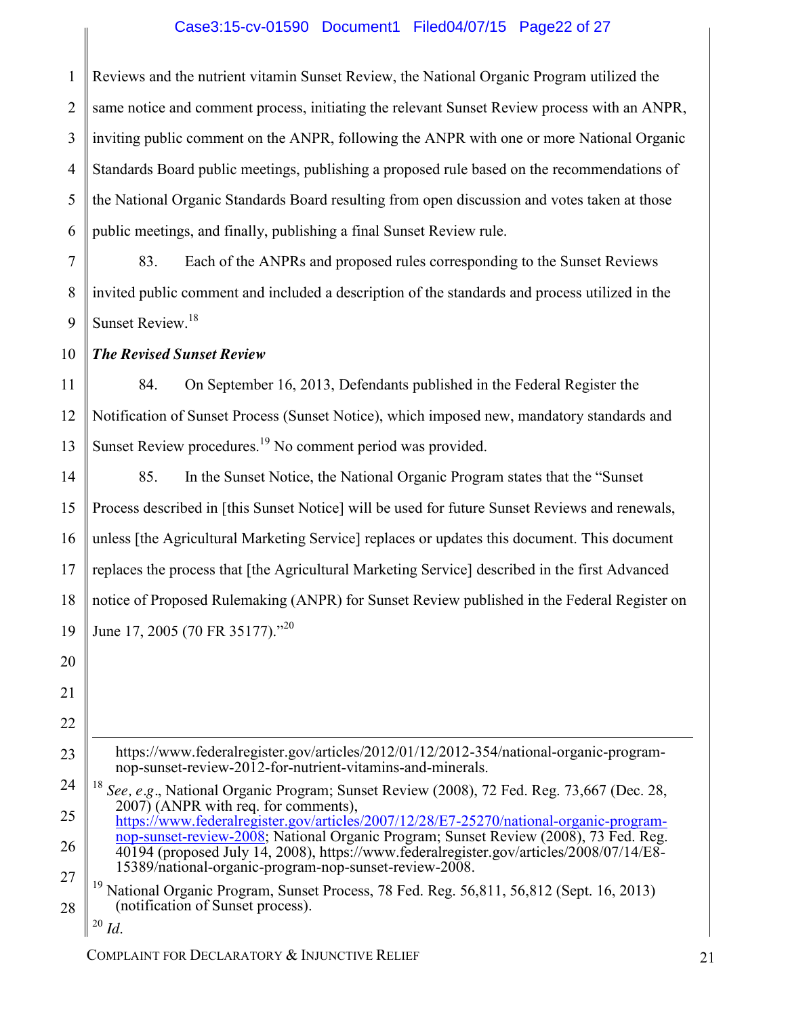### Case3:15-cv-01590 Document1 Filed04/07/15 Page22 of 27

1 2 3 4 5 6 Reviews and the nutrient vitamin Sunset Review, the National Organic Program utilized the same notice and comment process, initiating the relevant Sunset Review process with an ANPR, inviting public comment on the ANPR, following the ANPR with one or more National Organic Standards Board public meetings, publishing a proposed rule based on the recommendations of the National Organic Standards Board resulting from open discussion and votes taken at those public meetings, and finally, publishing a final Sunset Review rule.

7 8 9 83. Each of the ANPRs and proposed rules corresponding to the Sunset Reviews invited public comment and included a description of the standards and process utilized in the Sunset Review. 18

10 *The Revised Sunset Review*

11 12 13 84. On September 16, 2013, Defendants published in the Federal Register the Notification of Sunset Process (Sunset Notice), which imposed new, mandatory standards and Sunset Review procedures.<sup>19</sup> No comment period was provided.

14 15 16 17 18 19 85. In the Sunset Notice, the National Organic Program states that the "Sunset Process described in [this Sunset Notice] will be used for future Sunset Reviews and renewals, unless [the Agricultural Marketing Service] replaces or updates this document. This document replaces the process that [the Agricultural Marketing Service] described in the first Advanced notice of Proposed Rulemaking (ANPR) for Sunset Review published in the Federal Register on June 17, 2005 (70 FR 35177)."<sup>20</sup>

https://www.federalregister.gov/articles/2012/01/12/2012-354/national-organic-program- nop-sunset-review-2012-for-nutrient-vitamins-and-minerals.

24 25 26 27 <sup>18</sup> See, e.g., National Organic Program; Sunset Review (2008), 72 Fed. Reg. 73,667 (Dec. 28, 2007) (ANPR with req. for comments), https://www.federalregister.gov/articles/2007/12/28/E7-25270/national-organic-programnop-sunset-review-2008; National Organic Program; Sunset Review (2008), 73 Fed. Reg. 40194 (proposed July 14, 2008), https://www.federalregister.gov/articles/2008/07/14/E8- 15389/national-organic-program-nop-sunset-review-2008.

28 <sup>19</sup> National Organic Program, Sunset Process, 78 Fed. Reg. 56,811, 56,812 (Sept. 16, 2013) (notification of Sunset process).

20

21

22

 $\overline{a}$ 

23

COMPLAINT FOR DECLARATORY & INJUNCTIVE RELIEF 21

<sup>20</sup> *Id*.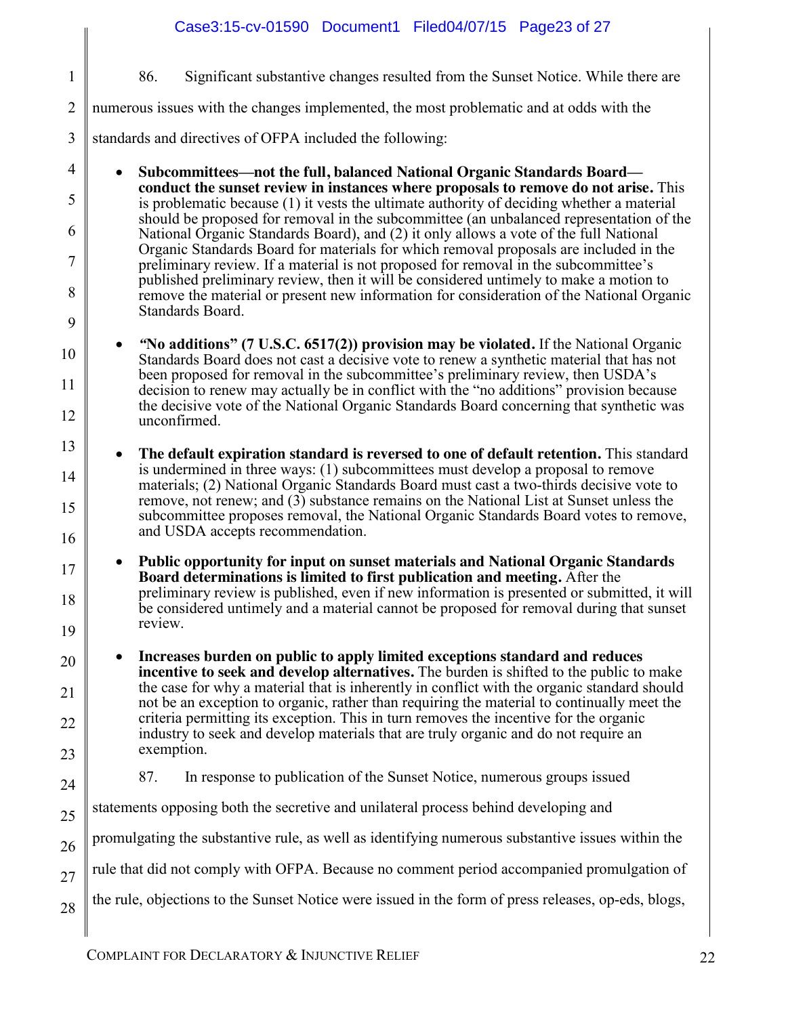| $\mathbf{1}$   | 86.<br>Significant substantive changes resulted from the Sunset Notice. While there are                                                                                                                            |
|----------------|--------------------------------------------------------------------------------------------------------------------------------------------------------------------------------------------------------------------|
| $\overline{2}$ | numerous issues with the changes implemented, the most problematic and at odds with the                                                                                                                            |
| 3              | standards and directives of OFPA included the following:                                                                                                                                                           |
| 4              | Subcommittees—not the full, balanced National Organic Standards Board—                                                                                                                                             |
| 5              | conduct the sunset review in instances where proposals to remove do not arise. This<br>is problematic because (1) it vests the ultimate authority of deciding whether a material                                   |
| 6              | should be proposed for removal in the subcommittee (an unbalanced representation of the<br>National Organic Standards Board), and (2) it only allows a vote of the full National                                   |
| 7              | Organic Standards Board for materials for which removal proposals are included in the<br>preliminary review. If a material is not proposed for removal in the subcommittee's                                       |
| 8              | published preliminary review, then it will be considered untimely to make a motion to<br>remove the material or present new information for consideration of the National Organic                                  |
| 9              | Standards Board.                                                                                                                                                                                                   |
| 10             | "No additions" (7 U.S.C. 6517(2)) provision may be violated. If the National Organic<br>Standards Board does not cast a decisive vote to renew a synthetic material that has not                                   |
| 11             | been proposed for removal in the subcommittee's preliminary review, then USDA's<br>decision to renew may actually be in conflict with the "no additions" provision because                                         |
| 12             | the decisive vote of the National Organic Standards Board concerning that synthetic was<br>unconfirmed.                                                                                                            |
| 13             | The default expiration standard is reversed to one of default retention. This standard<br>$\bullet$                                                                                                                |
| 14             | is undermined in three ways: (1) subcommittees must develop a proposal to remove<br>materials; (2) National Organic Standards Board must cast a two-thirds decisive vote to                                        |
| 15             | remove, not renew; and (3) substance remains on the National List at Sunset unless the<br>subcommittee proposes removal, the National Organic Standards Board votes to remove,<br>and USDA accepts recommendation. |
| 16             | <b>Public opportunity for input on sunset materials and National Organic Standards</b>                                                                                                                             |
| 17             | Board determinations is limited to first publication and meeting. After the                                                                                                                                        |
| 18             | preliminary review is published, even if new information is presented or submitted, it will<br>be considered untimely and a material cannot be proposed for removal during that sunset<br>review.                  |
| 19             |                                                                                                                                                                                                                    |
| 20             | Increases burden on public to apply limited exceptions standard and reduces<br>incentive to seek and develop alternatives. The burden is shifted to the public to make                                             |
| 21             | the case for why a material that is inherently in conflict with the organic standard should<br>not be an exception to organic, rather than requiring the material to continually meet the                          |
| 22             | criteria permitting its exception. This in turn removes the incentive for the organic<br>industry to seek and develop materials that are truly organic and do not require an<br>exemption.                         |
| 23             | 87.<br>In response to publication of the Sunset Notice, numerous groups issued                                                                                                                                     |
| 24             | statements opposing both the secretive and unilateral process behind developing and                                                                                                                                |
| 25             | promulgating the substantive rule, as well as identifying numerous substantive issues within the                                                                                                                   |
| 26             | rule that did not comply with OFPA. Because no comment period accompanied promulgation of                                                                                                                          |
| 27             | the rule, objections to the Sunset Notice were issued in the form of press releases, op-eds, blogs,                                                                                                                |
| 28             |                                                                                                                                                                                                                    |

Case3:15-cv-01590 Document1 Filed04/07/15 Page23 of 27

 $\begin{array}{c} \begin{array}{c} \begin{array}{c} \end{array} \end{array} \end{array}$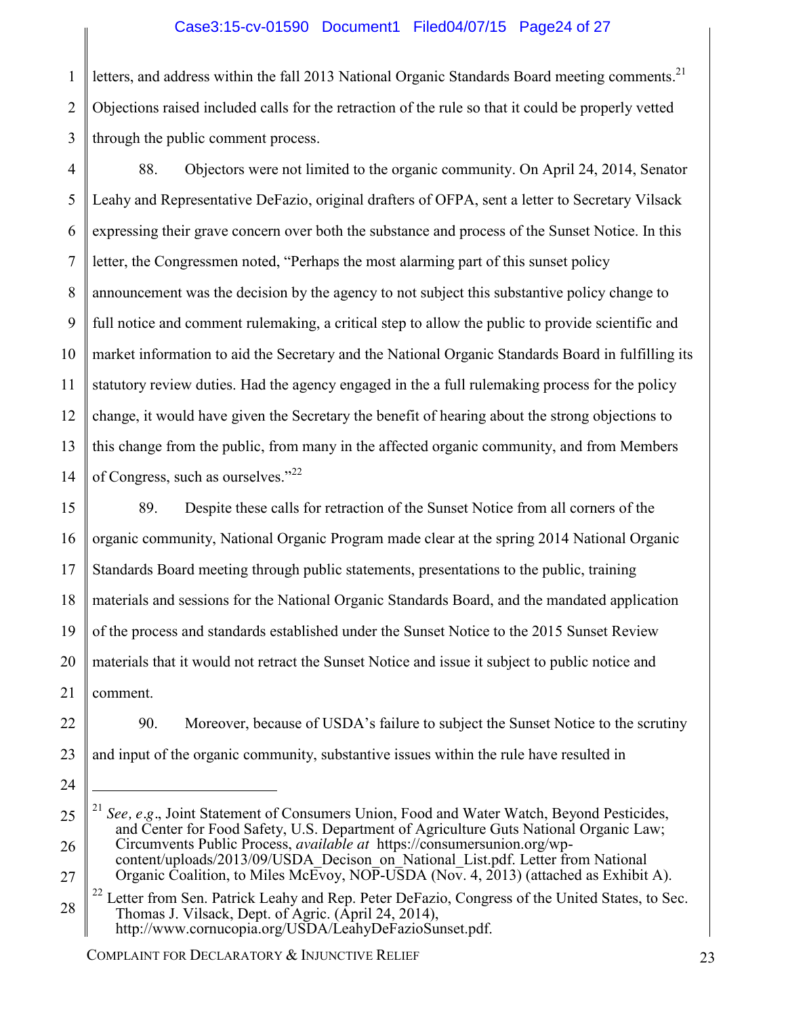### Case3:15-cv-01590 Document1 Filed04/07/15 Page24 of 27

1 2 3 letters, and address within the fall 2013 National Organic Standards Board meeting comments.<sup>21</sup> Objections raised included calls for the retraction of the rule so that it could be properly vetted through the public comment process.

4 5 6 7 8 9 10 11 12 13 14 88. Objectors were not limited to the organic community. On April 24, 2014, Senator Leahy and Representative DeFazio, original drafters of OFPA, sent a letter to Secretary Vilsack expressing their grave concern over both the substance and process of the Sunset Notice. In this letter, the Congressmen noted, "Perhaps the most alarming part of this sunset policy announcement was the decision by the agency to not subject this substantive policy change to full notice and comment rulemaking, a critical step to allow the public to provide scientific and market information to aid the Secretary and the National Organic Standards Board in fulfilling its statutory review duties. Had the agency engaged in the a full rulemaking process for the policy change, it would have given the Secretary the benefit of hearing about the strong objections to this change from the public, from many in the affected organic community, and from Members of Congress, such as ourselves."<sup>22</sup>

15 16 17 18 19 20 21 89. Despite these calls for retraction of the Sunset Notice from all corners of the organic community, National Organic Program made clear at the spring 2014 National Organic Standards Board meeting through public statements, presentations to the public, training materials and sessions for the National Organic Standards Board, and the mandated application of the process and standards established under the Sunset Notice to the 2015 Sunset Review materials that it would not retract the Sunset Notice and issue it subject to public notice and comment.

90. Moreover, because of USDA's failure to subject the Sunset Notice to the scrutiny and input of the organic community, substantive issues within the rule have resulted in

COMPLAINT FOR DECLARATORY & INJUNCTIVE RELIEF 23

22

23

24

 $\overline{a}$ 

<sup>25</sup> 26 See, e.g., Joint Statement of Consumers Union, Food and Water Watch, Beyond Pesticides, and Center for Food Safety, U.S. Department of Agriculture Guts National Organic Law; Circumvents Public Process, *available at* https://consumersunion.org/wpcontent/uploads/2013/09/USDA\_Decison\_on\_National\_List.pdf. Letter from National

Organic Coalition, to Miles McEvoy, NOP-USDA (Nov. 4, 2013) (attached as Exhibit A).

<sup>28</sup> <sup>22</sup> Letter from Sen. Patrick Leahy and Rep. Peter DeFazio, Congress of the United States, to Sec. Thomas J. Vilsack, Dept. of Agric. (April 24, 2014), http://www.cornucopia.org/USDA/LeahyDeFazioSunset.pdf.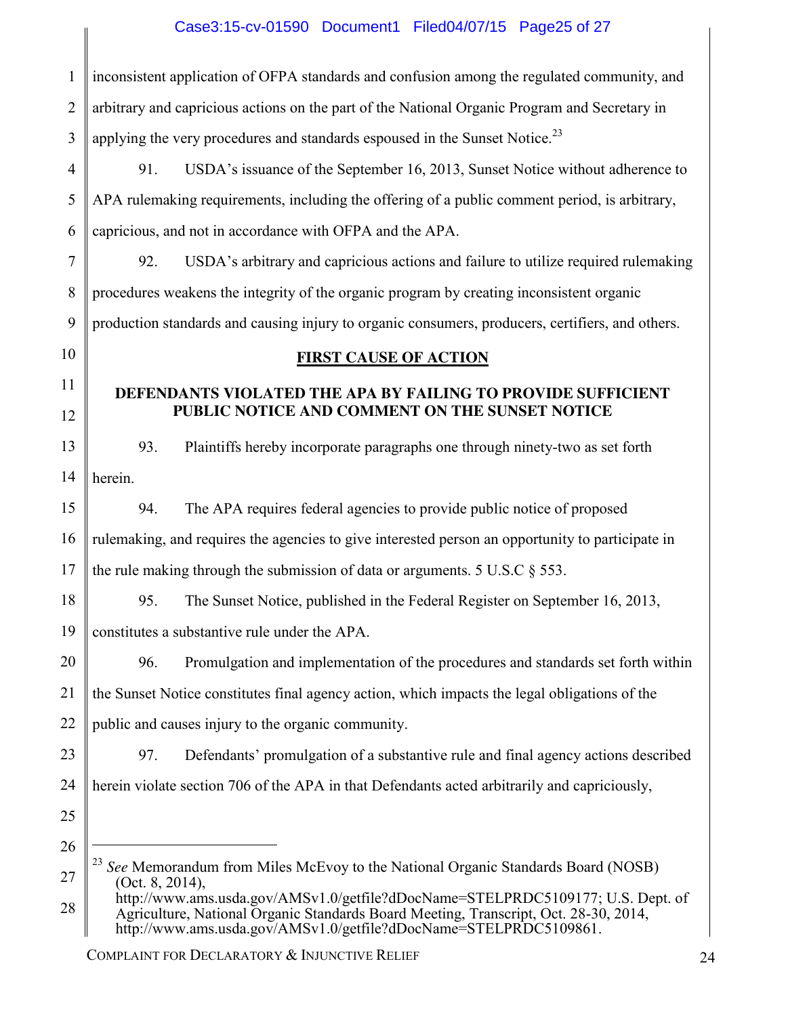## Case3:15-cv-01590 Document1 Filed04/07/15 Page25 of 27

I

| 1              | inconsistent application of OFPA standards and confusion among the regulated community, and                                                                                                                                                  |
|----------------|----------------------------------------------------------------------------------------------------------------------------------------------------------------------------------------------------------------------------------------------|
| $\overline{2}$ | arbitrary and capricious actions on the part of the National Organic Program and Secretary in                                                                                                                                                |
| 3              | applying the very procedures and standards espoused in the Sunset Notice. <sup>23</sup>                                                                                                                                                      |
| 4              | USDA's issuance of the September 16, 2013, Sunset Notice without adherence to<br>91.                                                                                                                                                         |
| 5              | APA rulemaking requirements, including the offering of a public comment period, is arbitrary,                                                                                                                                                |
| 6              | capricious, and not in accordance with OFPA and the APA.                                                                                                                                                                                     |
| 7              | USDA's arbitrary and capricious actions and failure to utilize required rulemaking<br>92.                                                                                                                                                    |
| 8              | procedures weakens the integrity of the organic program by creating inconsistent organic                                                                                                                                                     |
| 9              | production standards and causing injury to organic consumers, producers, certifiers, and others.                                                                                                                                             |
| 10             | <b>FIRST CAUSE OF ACTION</b>                                                                                                                                                                                                                 |
| 11             | DEFENDANTS VIOLATED THE APA BY FAILING TO PROVIDE SUFFICIENT                                                                                                                                                                                 |
| 12             | PUBLIC NOTICE AND COMMENT ON THE SUNSET NOTICE                                                                                                                                                                                               |
| 13             | Plaintiffs hereby incorporate paragraphs one through ninety-two as set forth<br>93.                                                                                                                                                          |
| 14             | herein.                                                                                                                                                                                                                                      |
| 15             | The APA requires federal agencies to provide public notice of proposed<br>94.                                                                                                                                                                |
| 16             | rulemaking, and requires the agencies to give interested person an opportunity to participate in                                                                                                                                             |
| 17             | the rule making through the submission of data or arguments. $5 \text{ U.S.C} \$ $553$ .                                                                                                                                                     |
| 18             | 95.<br>The Sunset Notice, published in the Federal Register on September 16, 2013,                                                                                                                                                           |
| 19             | constitutes a substantive rule under the APA.                                                                                                                                                                                                |
| 20             | 96.<br>Promulgation and implementation of the procedures and standards set forth within                                                                                                                                                      |
| 21             | the Sunset Notice constitutes final agency action, which impacts the legal obligations of the                                                                                                                                                |
| 22             | public and causes injury to the organic community.                                                                                                                                                                                           |
| 23             | 97.<br>Defendants' promulgation of a substantive rule and final agency actions described                                                                                                                                                     |
| 24             | herein violate section 706 of the APA in that Defendants acted arbitrarily and capriciously,                                                                                                                                                 |
| 25             |                                                                                                                                                                                                                                              |
| 26             |                                                                                                                                                                                                                                              |
| 27             | 23<br>See Memorandum from Miles McEvoy to the National Organic Standards Board (NOSB)<br>(Oct. 8, 2014),                                                                                                                                     |
| 28             | http://www.ams.usda.gov/AMSv1.0/getfile?dDocName=STELPRDC5109177; U.S. Dept. of<br>Agriculture, National Organic Standards Board Meeting, Transcript, Oct. 28-30, 2014,<br>http://www.ams.usda.gov/AMSv1.0/getfile?dDocName=STELPRDC5109861. |

COMPLAINT FOR DECLARATORY & INJUNCTIVE RELIEF 24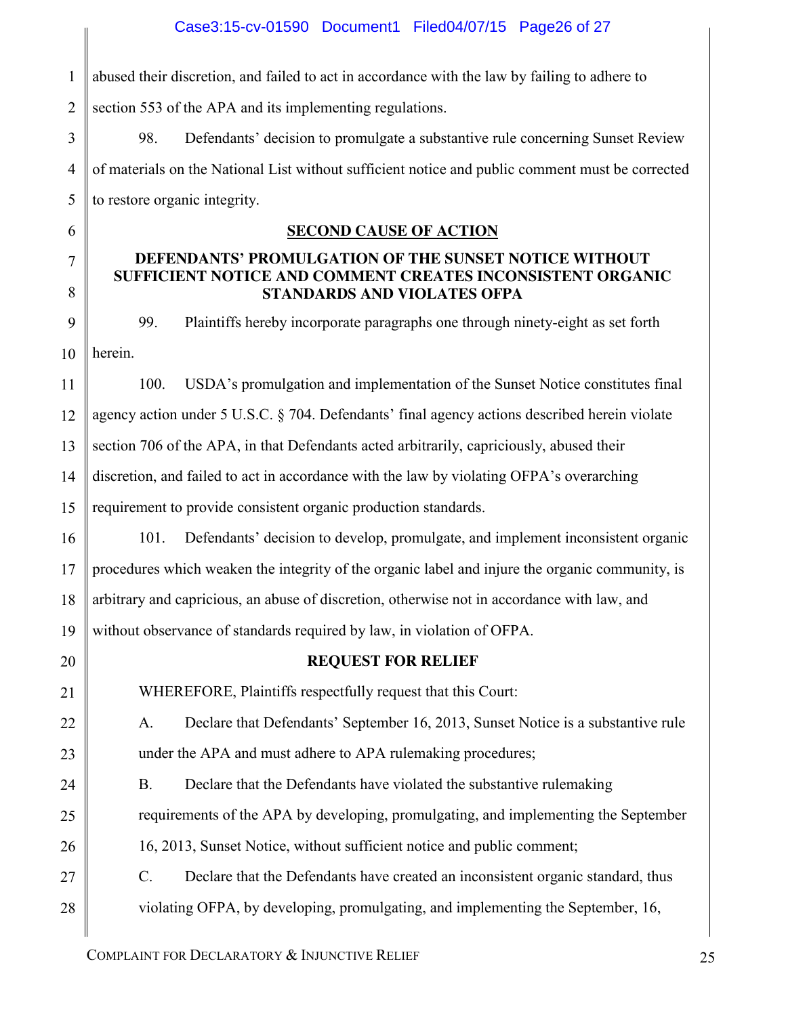1 2 abused their discretion, and failed to act in accordance with the law by failing to adhere to section 553 of the APA and its implementing regulations.

3 4 5 98. Defendants' decision to promulgate a substantive rule concerning Sunset Review of materials on the National List without sufficient notice and public comment must be corrected to restore organic integrity.

### **SECOND CAUSE OF ACTION**

### **DEFENDANTS' PROMULGATION OF THE SUNSET NOTICE WITHOUT SUFFICIENT NOTICE AND COMMENT CREATES INCONSISTENT ORGANIC STANDARDS AND VIOLATES OFPA**

9 10 99. Plaintiffs hereby incorporate paragraphs one through ninety-eight as set forth herein.

11 12 13 14 15 100. USDA's promulgation and implementation of the Sunset Notice constitutes final agency action under 5 U.S.C. § 704. Defendants' final agency actions described herein violate section 706 of the APA, in that Defendants acted arbitrarily, capriciously, abused their discretion, and failed to act in accordance with the law by violating OFPA's overarching requirement to provide consistent organic production standards.

16 17 18 19 101. Defendants' decision to develop, promulgate, and implement inconsistent organic procedures which weaken the integrity of the organic label and injure the organic community, is arbitrary and capricious, an abuse of discretion, otherwise not in accordance with law, and without observance of standards required by law, in violation of OFPA.

20 21

22

23

24

25

26

27

28

6

7

8

### **REQUEST FOR RELIEF**

WHEREFORE, Plaintiffs respectfully request that this Court:

A. Declare that Defendants' September 16, 2013, Sunset Notice is a substantive rule under the APA and must adhere to APA rulemaking procedures;

B. Declare that the Defendants have violated the substantive rulemaking requirements of the APA by developing, promulgating, and implementing the September

16, 2013, Sunset Notice, without sufficient notice and public comment;

C. Declare that the Defendants have created an inconsistent organic standard, thus violating OFPA, by developing, promulgating, and implementing the September, 16,